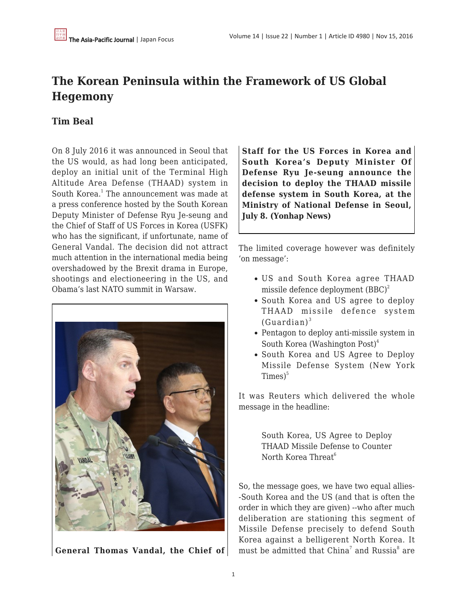# **The Korean Peninsula within the Framework of US Global Hegemony**

## **Tim Beal**

On 8 July 2016 it was announced in Seoul that the US would, as had long been anticipated, deploy an initial unit of the Terminal High Altitude Area Defense (THAAD) system in South Korea.<sup>1</sup> The announcement was made at a press conference hosted by the South Korean Deputy Minister of Defense Ryu Je-seung and the Chief of Staff of US Forces in Korea (USFK) who has the significant, if unfortunate, name of General Vandal. The decision did not attract much attention in the international media being overshadowed by the Brexit drama in Europe, shootings and electioneering in the US, and Obama's last NATO summit in Warsaw.



**General Thomas Vandal, the Chief of**

**Staff for the US Forces in Korea and South Korea's Deputy Minister Of Defense Ryu Je-seung announce the decision to deploy the THAAD missile defense system in South Korea, at the Ministry of National Defense in Seoul, July 8. (Yonhap News)**

The limited coverage however was definitely 'on message':

- US and South Korea agree THAAD missile defence deployment  $(BBC)^2$
- South Korea and US agree to deploy THAAD missile defence system  $(Guardian)^3$
- Pentagon to deploy anti-missile system in South Korea (Washington Post) $4$
- South Korea and US Agree to Deploy Missile Defense System (New York  $Times<sup>5</sup>$

It was Reuters which delivered the whole message in the headline:

> South Korea, US Agree to Deploy THAAD Missile Defense to Counter North Korea Threat $<sup>6</sup>$ </sup>

So, the message goes, we have two equal allies- -South Korea and the US (and that is often the order in which they are given) --who after much deliberation are stationing this segment of Missile Defense precisely to defend South Korea against a belligerent North Korea. It must be admitted that China $^7$  and Russia $^8$  are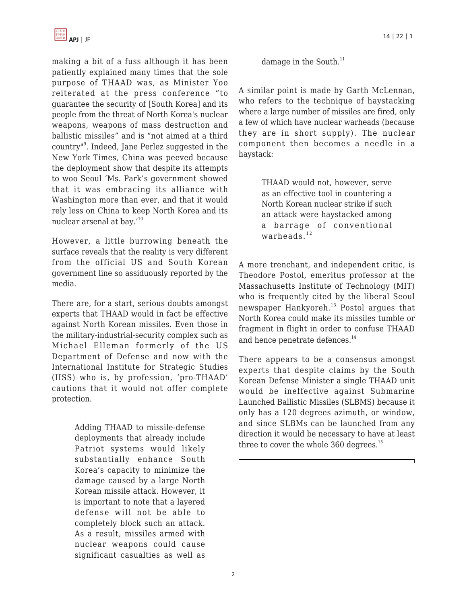

making a bit of a fuss although it has been patiently explained many times that the sole purpose of THAAD was, as Minister Yoo reiterated at the press conference "to guarantee the security of [South Korea] and its people from the threat of North Korea's nuclear weapons, weapons of mass destruction and ballistic missiles" and is "not aimed at a third country"<sup>9</sup> . Indeed, Jane Perlez suggested in the New York Times, China was peeved because the deployment show that despite its attempts to woo Seoul 'Ms. Park's government showed that it was embracing its alliance with Washington more than ever, and that it would rely less on China to keep North Korea and its nuclear arsenal at bay.'<sup>10</sup>

However, a little burrowing beneath the surface reveals that the reality is very different from the official US and South Korean government line so assiduously reported by the media.

There are, for a start, serious doubts amongst experts that THAAD would in fact be effective against North Korean missiles. Even those in the military-industrial-security complex such as Michael Elleman formerly of the US Department of Defense and now with the International Institute for Strategic Studies (IISS) who is, by profession, 'pro-THAAD' cautions that it would not offer complete protection.

> Adding THAAD to missile-defense deployments that already include Patriot systems would likely substantially enhance South Korea's capacity to minimize the damage caused by a large North Korean missile attack. However, it is important to note that a layered defense will not be able to completely block such an attack. As a result, missiles armed with nuclear weapons could cause significant casualties as well as

damage in the South.<sup>11</sup>

A similar point is made by Garth McLennan, who refers to the technique of haystacking where a large number of missiles are fired, only a few of which have nuclear warheads (because they are in short supply). The nuclear component then becomes a needle in a haystack:

> THAAD would not, however, serve as an effective tool in countering a North Korean nuclear strike if such an attack were haystacked among a barrage of conventional warheads. $12$

A more trenchant, and independent critic, is Theodore Postol, emeritus professor at the Massachusetts Institute of Technology (MIT) who is frequently cited by the liberal Seoul newspaper Hankyoreh.<sup>13</sup> Postol argues that North Korea could make its missiles tumble or fragment in flight in order to confuse THAAD and hence penetrate defences.<sup>14</sup>

There appears to be a consensus amongst experts that despite claims by the South Korean Defense Minister a single THAAD unit would be ineffective against Submarine Launched Ballistic Missiles (SLBMS) because it only has a 120 degrees azimuth, or window, and since SLBMs can be launched from any direction it would be necessary to have at least three to cover the whole  $360$  degrees.<sup>15</sup>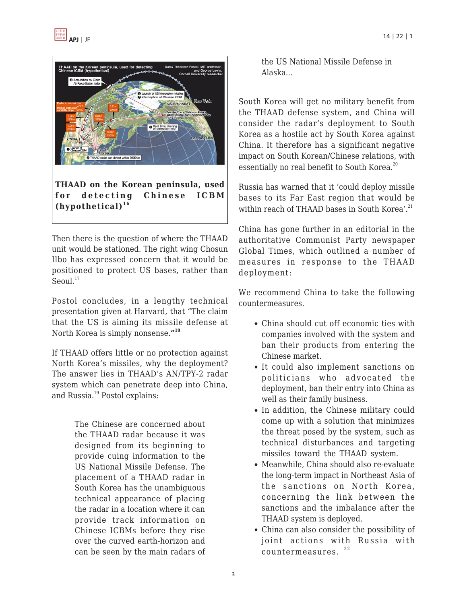

**THAAD on the Korean peninsula, used for detecting Chinese ICBM**  $(h$ ypothetical $)$ <sup>16</sup>

Then there is the question of where the THAAD unit would be stationed. The right wing Chosun Ilbo has expressed concern that it would be positioned to protect US bases, rather than Seoul. $17$ 

Postol concludes, in a lengthy technical presentation given at Harvard, that "The claim that the US is aiming its missile defense at North Korea is simply nonsense.**" 18**

If THAAD offers little or no protection against North Korea's missiles, why the deployment? The answer lies in THAAD's AN/TPY-2 radar system which can penetrate deep into China, and Russia.<sup>19</sup> Postol explains:

> The Chinese are concerned about the THAAD radar because it was designed from its beginning to provide cuing information to the US National Missile Defense. The placement of a THAAD radar in South Korea has the unambiguous technical appearance of placing the radar in a location where it can provide track information on Chinese ICBMs before they rise over the curved earth-horizon and can be seen by the main radars of

the US National Missile Defense in Alaska...

South Korea will get no military benefit from the THAAD defense system, and China will consider the radar's deployment to South Korea as a hostile act by South Korea against China. It therefore has a significant negative impact on South Korean/Chinese relations, with essentially no real benefit to South Korea.<sup>20</sup>

Russia has warned that it 'could deploy missile bases to its Far East region that would be within reach of THAAD bases in South Korea'. $^{21}$ 

China has gone further in an editorial in the authoritative Communist Party newspaper Global Times, which outlined a number of measures in response to the THAAD deployment:

We recommend China to take the following countermeasures.

- China should cut off economic ties with companies involved with the system and ban their products from entering the Chinese market.
- It could also implement sanctions on politicians who advocated the deployment, ban their entry into China as well as their family business.
- In addition, the Chinese military could come up with a solution that minimizes the threat posed by the system, such as technical disturbances and targeting missiles toward the THAAD system.
- Meanwhile, China should also re-evaluate the long-term impact in Northeast Asia of the sanctions on North Korea, concerning the link between the sanctions and the imbalance after the THAAD system is deployed.
- China can also consider the possibility of joint actions with Russia with countermeasures.  $22$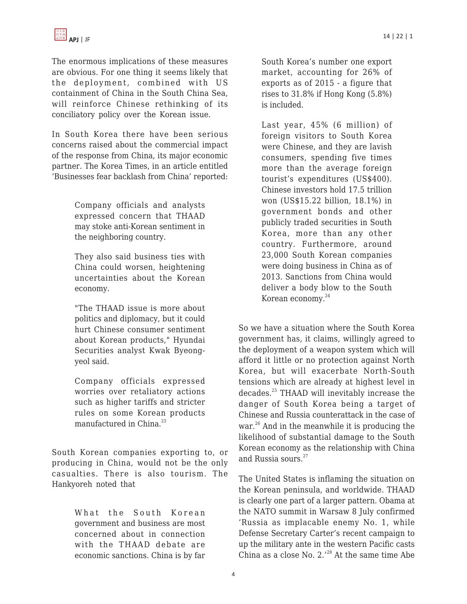

The enormous implications of these measures are obvious. For one thing it seems likely that the deployment, combined with US containment of China in the South China Sea, will reinforce Chinese rethinking of its conciliatory policy over the Korean issue.

In South Korea there have been serious concerns raised about the commercial impact of the response from China, its major economic partner. The Korea Times, in an article entitled 'Businesses fear backlash from China' reported:

> Company officials and analysts expressed concern that THAAD may stoke anti-Korean sentiment in the neighboring country.

> They also said business ties with China could worsen, heightening uncertainties about the Korean economy.

> "The THAAD issue is more about politics and diplomacy, but it could hurt Chinese consumer sentiment about Korean products," Hyundai Securities analyst Kwak Byeongyeol said.

> Company officials expressed worries over retaliatory actions such as higher tariffs and stricter rules on some Korean products manufactured in China.<sup>23</sup>

South Korean companies exporting to, or producing in China, would not be the only casualties. There is also tourism. The Hankyoreh noted that

> What the South Korean government and business are most concerned about in connection with the THAAD debate are economic sanctions. China is by far

South Korea's number one export market, accounting for 26% of exports as of 2015 - a figure that rises to 31.8% if Hong Kong (5.8%) is included.

Last year, 45% (6 million) of foreign visitors to South Korea were Chinese, and they are lavish consumers, spending five times more than the average foreign tourist's expenditures (US\$400). Chinese investors hold 17.5 trillion won (US\$15.22 billion, 18.1%) in government bonds and other publicly traded securities in South Korea, more than any other country. Furthermore, around 23,000 South Korean companies were doing business in China as of 2013. Sanctions from China would deliver a body blow to the South Korean economy.<sup>24</sup>

So we have a situation where the South Korea government has, it claims, willingly agreed to the deployment of a weapon system which will afford it little or no protection against North Korea, but will exacerbate North-South tensions which are already at highest level in decades.<sup>25</sup> THAAD will inevitably increase the danger of South Korea being a target of Chinese and Russia counterattack in the case of war.<sup>26</sup> And in the meanwhile it is producing the likelihood of substantial damage to the South Korean economy as the relationship with China and Russia sours.<sup>27</sup>

The United States is inflaming the situation on the Korean peninsula, and worldwide. THAAD is clearly one part of a larger pattern. Obama at the NATO summit in Warsaw 8 July confirmed 'Russia as implacable enemy No. 1, while Defense Secretary Carter's recent campaign to up the military ante in the western Pacific casts China as a close No.  $2.^{28}$  At the same time Abe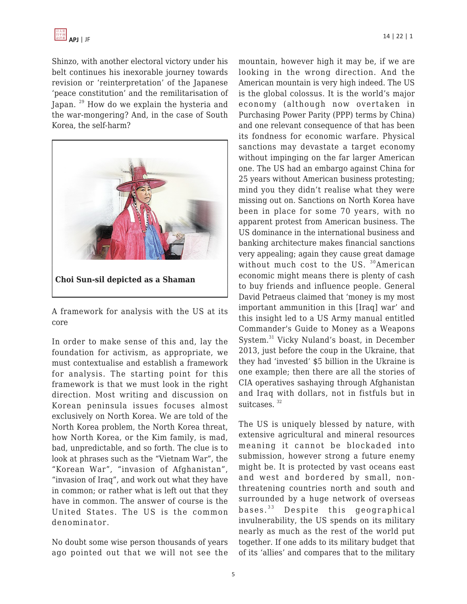

Shinzo, with another electoral victory under his belt continues his inexorable journey towards revision or 'reinterpretation' of the Japanese 'peace constitution' and the remilitarisation of Japan. <sup>29</sup> How do we explain the hysteria and the war-mongering? And, in the case of South Korea, the self-harm?



A framework for analysis with the US at its core

In order to make sense of this and, lay the foundation for activism, as appropriate, we must contextualise and establish a framework for analysis. The starting point for this framework is that we must look in the right direction. Most writing and discussion on Korean peninsula issues focuses almost exclusively on North Korea. We are told of the North Korea problem, the North Korea threat, how North Korea, or the Kim family, is mad, bad, unpredictable, and so forth. The clue is to look at phrases such as the "Vietnam War", the "Korean War", "invasion of Afghanistan", "invasion of Iraq", and work out what they have in common; or rather what is left out that they have in common. The answer of course is the United States. The US is the common denominator.

No doubt some wise person thousands of years ago pointed out that we will not see the mountain, however high it may be, if we are looking in the wrong direction. And the American mountain is very high indeed. The US is the global colossus. It is the world's major economy (although now overtaken in Purchasing Power Parity (PPP) terms by China) and one relevant consequence of that has been its fondness for economic warfare. Physical sanctions may devastate a target economy without impinging on the far larger American one. The US had an embargo against China for 25 years without American business protesting; mind you they didn't realise what they were missing out on. Sanctions on North Korea have been in place for some 70 years, with no apparent protest from American business. The US dominance in the international business and banking architecture makes financial sanctions very appealing; again they cause great damage without much cost to the US. <sup>30</sup>American economic might means there is plenty of cash to buy friends and influence people. General David Petraeus claimed that 'money is my most important ammunition in this [Iraq] war' and this insight led to a US Army manual entitled Commander's Guide to Money as a Weapons System.<sup>31</sup> Vicky Nuland's boast, in December 2013, just before the coup in the Ukraine, that they had 'invested' \$5 billion in the Ukraine is one example; then there are all the stories of CIA operatives sashaying through Afghanistan and Iraq with dollars, not in fistfuls but in suitcases.<sup>32</sup>

The US is uniquely blessed by nature, with extensive agricultural and mineral resources meaning it cannot be blockaded into submission, however strong a future enemy might be. It is protected by vast oceans east and west and bordered by small, nonthreatening countries north and south and surrounded by a huge network of overseas bases.<sup>33</sup> Despite this geographical invulnerability, the US spends on its military nearly as much as the rest of the world put together. If one adds to its military budget that of its 'allies' and compares that to the military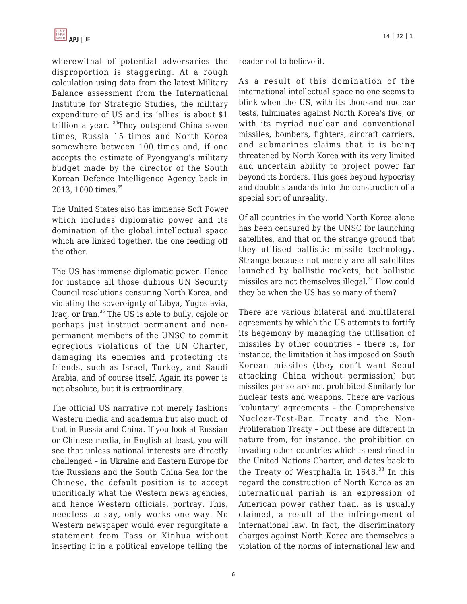

wherewithal of potential adversaries the disproportion is staggering. At a rough calculation using data from the latest Military Balance assessment from the International Institute for Strategic Studies, the military expenditure of US and its 'allies' is about \$1 trillion a year. <sup>34</sup>They outspend China seven times, Russia 15 times and North Korea somewhere between 100 times and, if one accepts the estimate of Pyongyang's military budget made by the director of the South Korean Defence Intelligence Agency back in 2013, 1000 times.<sup>35</sup>

The United States also has immense Soft Power which includes diplomatic power and its domination of the global intellectual space which are linked together, the one feeding off the other.

The US has immense diplomatic power. Hence for instance all those dubious UN Security Council resolutions censuring North Korea, and violating the sovereignty of Libya, Yugoslavia, Iraq, or Iran.<sup>36</sup> The US is able to bully, cajole or perhaps just instruct permanent and nonpermanent members of the UNSC to commit egregious violations of the UN Charter, damaging its enemies and protecting its friends, such as Israel, Turkey, and Saudi Arabia, and of course itself. Again its power is not absolute, but it is extraordinary.

The official US narrative not merely fashions Western media and academia but also much of that in Russia and China. If you look at Russian or Chinese media, in English at least, you will see that unless national interests are directly challenged – in Ukraine and Eastern Europe for the Russians and the South China Sea for the Chinese, the default position is to accept uncritically what the Western news agencies, and hence Western officials, portray. This, needless to say, only works one way. No Western newspaper would ever regurgitate a statement from Tass or Xinhua without inserting it in a political envelope telling the reader not to believe it.

As a result of this domination of the international intellectual space no one seems to blink when the US, with its thousand nuclear tests, fulminates against North Korea's five, or with its myriad nuclear and conventional missiles, bombers, fighters, aircraft carriers, and submarines claims that it is being threatened by North Korea with its very limited and uncertain ability to project power far beyond its borders. This goes beyond hypocrisy and double standards into the construction of a special sort of unreality.

Of all countries in the world North Korea alone has been censured by the UNSC for launching satellites, and that on the strange ground that they utilised ballistic missile technology. Strange because not merely are all satellites launched by ballistic rockets, but ballistic missiles are not themselves illegal.<sup>37</sup> How could they be when the US has so many of them?

There are various bilateral and multilateral agreements by which the US attempts to fortify its hegemony by managing the utilisation of missiles by other countries – there is, for instance, the limitation it has imposed on South Korean missiles (they don't want Seoul attacking China without permission) but missiles per se are not prohibited Similarly for nuclear tests and weapons. There are various 'voluntary' agreements – the Comprehensive Nuclear-Test-Ban Treaty and the Non-Proliferation Treaty – but these are different in nature from, for instance, the prohibition on invading other countries which is enshrined in the United Nations Charter, and dates back to the Treaty of Westphalia in  $1648.^{38}$  In this regard the construction of North Korea as an international pariah is an expression of American power rather than, as is usually claimed, a result of the infringement of international law. In fact, the discriminatory charges against North Korea are themselves a violation of the norms of international law and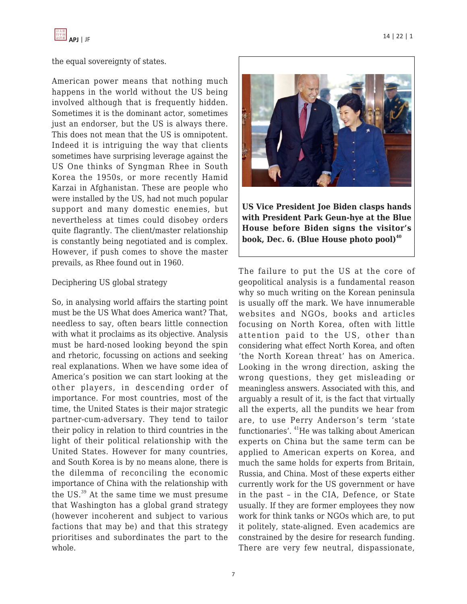

## the equal sovereignty of states.

American power means that nothing much happens in the world without the US being involved although that is frequently hidden. Sometimes it is the dominant actor, sometimes just an endorser, but the US is always there. This does not mean that the US is omnipotent. Indeed it is intriguing the way that clients sometimes have surprising leverage against the US One thinks of Syngman Rhee in South Korea the 1950s, or more recently Hamid Karzai in Afghanistan. These are people who were installed by the US, had not much popular support and many domestic enemies, but nevertheless at times could disobey orders quite flagrantly. The client/master relationship is constantly being negotiated and is complex. However, if push comes to shove the master prevails, as Rhee found out in 1960.

### Deciphering US global strategy

So, in analysing world affairs the starting point must be the US What does America want? That, needless to say, often bears little connection with what it proclaims as its objective. Analysis must be hard-nosed looking beyond the spin and rhetoric, focussing on actions and seeking real explanations. When we have some idea of America's position we can start looking at the other players, in descending order of importance. For most countries, most of the time, the United States is their major strategic partner-cum-adversary. They tend to tailor their policy in relation to third countries in the light of their political relationship with the United States. However for many countries, and South Korea is by no means alone, there is the dilemma of reconciling the economic importance of China with the relationship with the US.<sup>39</sup> At the same time we must presume that Washington has a global grand strategy (however incoherent and subject to various factions that may be) and that this strategy prioritises and subordinates the part to the whole.



**US Vice President Joe Biden clasps hands with President Park Geun-hye at the Blue House before Biden signs the visitor's book, Dec. 6. (Blue House photo pool)<sup>40</sup>**

The failure to put the US at the core of geopolitical analysis is a fundamental reason why so much writing on the Korean peninsula is usually off the mark. We have innumerable websites and NGOs, books and articles focusing on North Korea, often with little attention paid to the US, other than considering what effect North Korea, and often 'the North Korean threat' has on America. Looking in the wrong direction, asking the wrong questions, they get misleading or meaningless answers. Associated with this, and arguably a result of it, is the fact that virtually all the experts, all the pundits we hear from are, to use Perry Anderson's term 'state functionaries'. <sup>41</sup>He was talking about American experts on China but the same term can be applied to American experts on Korea, and much the same holds for experts from Britain, Russia, and China. Most of these experts either currently work for the US government or have in the past – in the CIA, Defence, or State usually. If they are former employees they now work for think tanks or NGOs which are, to put it politely, state-aligned. Even academics are constrained by the desire for research funding. There are very few neutral, dispassionate,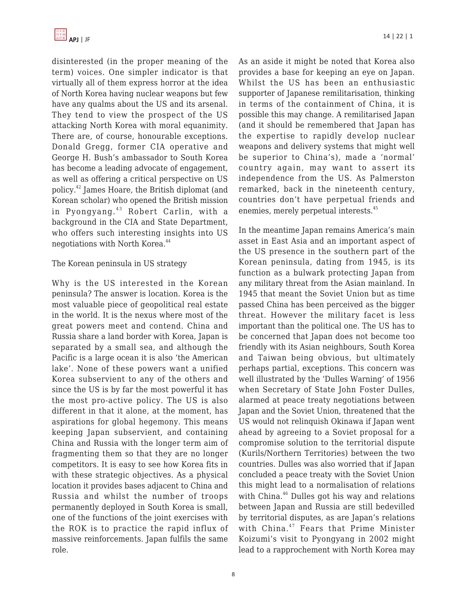disinterested (in the proper meaning of the term) voices. One simpler indicator is that virtually all of them express horror at the idea of North Korea having nuclear weapons but few have any qualms about the US and its arsenal. They tend to view the prospect of the US attacking North Korea with moral equanimity. There are, of course, honourable exceptions. Donald Gregg, former CIA operative and George H. Bush's ambassador to South Korea has become a leading advocate of engagement, as well as offering a critical perspective on US policy.<sup>42</sup> James Hoare, the British diplomat (and Korean scholar) who opened the British mission in Pyongyang.<sup>43</sup> Robert Carlin, with a background in the CIA and State Department, who offers such interesting insights into US negotiations with North Korea.<sup>44</sup>

#### The Korean peninsula in US strategy

Why is the US interested in the Korean peninsula? The answer is location. Korea is the most valuable piece of geopolitical real estate in the world. It is the nexus where most of the great powers meet and contend. China and Russia share a land border with Korea, Japan is separated by a small sea, and although the Pacific is a large ocean it is also 'the American lake'. None of these powers want a unified Korea subservient to any of the others and since the US is by far the most powerful it has the most pro-active policy. The US is also different in that it alone, at the moment, has aspirations for global hegemony. This means keeping Japan subservient, and containing China and Russia with the longer term aim of fragmenting them so that they are no longer competitors. It is easy to see how Korea fits in with these strategic objectives. As a physical location it provides bases adjacent to China and Russia and whilst the number of troops permanently deployed in South Korea is small, one of the functions of the joint exercises with the ROK is to practice the rapid influx of massive reinforcements. Japan fulfils the same role.

As an aside it might be noted that Korea also provides a base for keeping an eye on Japan. Whilst the US has been an enthusiastic supporter of Japanese remilitarisation, thinking in terms of the containment of China, it is possible this may change. A remilitarised Japan (and it should be remembered that Japan has the expertise to rapidly develop nuclear weapons and delivery systems that might well be superior to China's), made a 'normal' country again, may want to assert its independence from the US. As Palmerston remarked, back in the nineteenth century, countries don't have perpetual friends and enemies, merely perpetual interests.<sup>45</sup>

In the meantime Japan remains America's main asset in East Asia and an important aspect of the US presence in the southern part of the Korean peninsula, dating from 1945, is its function as a bulwark protecting Japan from any military threat from the Asian mainland. In 1945 that meant the Soviet Union but as time passed China has been perceived as the bigger threat. However the military facet is less important than the political one. The US has to be concerned that Japan does not become too friendly with its Asian neighbours, South Korea and Taiwan being obvious, but ultimately perhaps partial, exceptions. This concern was well illustrated by the 'Dulles Warning' of 1956 when Secretary of State John Foster Dulles, alarmed at peace treaty negotiations between Japan and the Soviet Union, threatened that the US would not relinquish Okinawa if Japan went ahead by agreeing to a Soviet proposal for a compromise solution to the territorial dispute (Kurils/Northern Territories) between the two countries. Dulles was also worried that if Japan concluded a peace treaty with the Soviet Union this might lead to a normalisation of relations with China.<sup>46</sup> Dulles got his way and relations between Japan and Russia are still bedevilled by territorial disputes, as are Japan's relations with China.<sup>47</sup> Fears that Prime Minister Koizumi's visit to Pyongyang in 2002 might lead to a rapprochement with North Korea may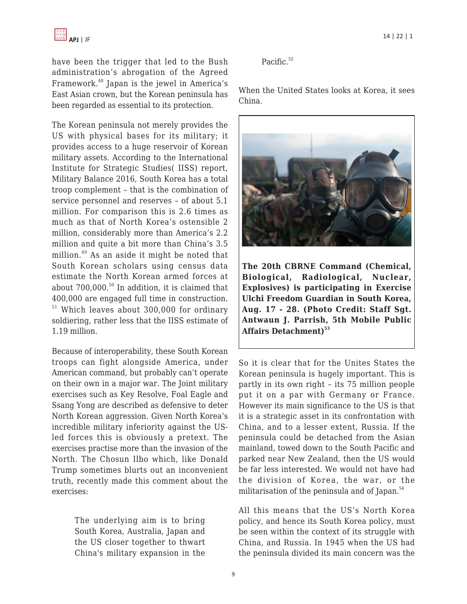have been the trigger that led to the Bush administration's abrogation of the Agreed Framework.<sup>48</sup> Japan is the jewel in America's East Asian crown, but the Korean peninsula has been regarded as essential to its protection.

The Korean peninsula not merely provides the US with physical bases for its military; it provides access to a huge reservoir of Korean military assets. According to the International Institute for Strategic Studies( IISS) report, Military Balance 2016, South Korea has a total troop complement – that is the combination of service personnel and reserves – of about 5.1 million. For comparison this is 2.6 times as much as that of North Korea's ostensible 2 million, considerably more than America's 2.2 million and quite a bit more than China's 3.5 million.<sup>49</sup> As an aside it might be noted that South Korean scholars using census data estimate the North Korean armed forces at about 700,000.<sup>50</sup> In addition, it is claimed that 400,000 are engaged full time in construction. <sup>51</sup> Which leaves about 300,000 for ordinary soldiering, rather less that the IISS estimate of 1.19 million.

Because of interoperability, these South Korean troops can fight alongside America, under American command, but probably can't operate on their own in a major war. The Joint military exercises such as Key Resolve, Foal Eagle and Ssang Yong are described as defensive to deter North Korean aggression. Given North Korea's incredible military inferiority against the USled forces this is obviously a pretext. The exercises practise more than the invasion of the North. The Chosun Ilbo which, like Donald Trump sometimes blurts out an inconvenient truth, recently made this comment about the exercises:

> The underlying aim is to bring South Korea, Australia, Japan and the US closer together to thwart China's military expansion in the

Pacific.<sup>52</sup>

When the United States looks at Korea, it sees China.



**The 20th CBRNE Command (Chemical, Biological, Radiological, Nuclear, Explosives) is participating in Exercise Ulchi Freedom Guardian in South Korea, Aug. 17 - 28. (Photo Credit: Staff Sgt. Antwaun J. Parrish, 5th Mobile Public Affairs Detachment)<sup>53</sup>**

So it is clear that for the Unites States the Korean peninsula is hugely important. This is partly in its own right – its 75 million people put it on a par with Germany or France. However its main significance to the US is that it is a strategic asset in its confrontation with China, and to a lesser extent, Russia. If the peninsula could be detached from the Asian mainland, towed down to the South Pacific and parked near New Zealand, then the US would be far less interested. We would not have had the division of Korea, the war, or the militarisation of the peninsula and of Japan.<sup>54</sup>

All this means that the US's North Korea policy, and hence its South Korea policy, must be seen within the context of its struggle with China, and Russia. In 1945 when the US had the peninsula divided its main concern was the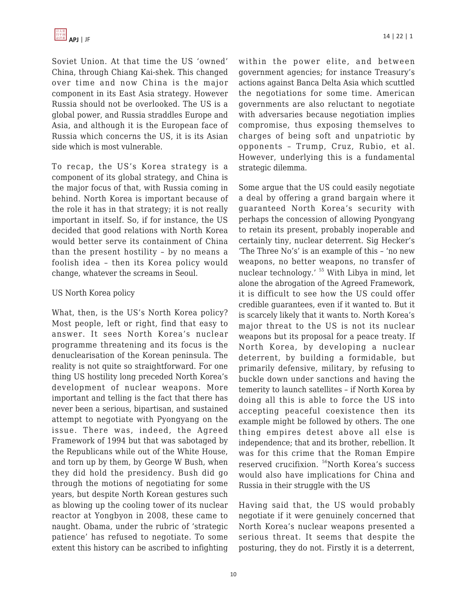Soviet Union. At that time the US 'owned' China, through Chiang Kai-shek. This changed over time and now China is the major component in its East Asia strategy. However Russia should not be overlooked. The US is a global power, and Russia straddles Europe and Asia, and although it is the European face of Russia which concerns the US, it is its Asian side which is most vulnerable.

To recap, the US's Korea strategy is a component of its global strategy, and China is the major focus of that, with Russia coming in behind. North Korea is important because of the role it has in that strategy; it is not really important in itself. So, if for instance, the US decided that good relations with North Korea would better serve its containment of China than the present hostility – by no means a foolish idea – then its Korea policy would change, whatever the screams in Seoul.

#### US North Korea policy

What, then, is the US's North Korea policy? Most people, left or right, find that easy to answer. It sees North Korea's nuclear programme threatening and its focus is the denuclearisation of the Korean peninsula. The reality is not quite so straightforward. For one thing US hostility long preceded North Korea's development of nuclear weapons. More important and telling is the fact that there has never been a serious, bipartisan, and sustained attempt to negotiate with Pyongyang on the issue. There was, indeed, the Agreed Framework of 1994 but that was sabotaged by the Republicans while out of the White House, and torn up by them, by George W Bush, when they did hold the presidency. Bush did go through the motions of negotiating for some years, but despite North Korean gestures such as blowing up the cooling tower of its nuclear reactor at Yongbyon in 2008, these came to naught. Obama, under the rubric of 'strategic patience' has refused to negotiate. To some extent this history can be ascribed to infighting

within the power elite, and between government agencies; for instance Treasury's actions against Banca Delta Asia which scuttled the negotiations for some time. American governments are also reluctant to negotiate with adversaries because negotiation implies compromise, thus exposing themselves to charges of being soft and unpatriotic by opponents – Trump, Cruz, Rubio, et al. However, underlying this is a fundamental strategic dilemma.

Some argue that the US could easily negotiate a deal by offering a grand bargain where it guaranteed North Korea's security with perhaps the concession of allowing Pyongyang to retain its present, probably inoperable and certainly tiny, nuclear deterrent. Sig Hecker's 'The Three No's' is an example of this – 'no new weapons, no better weapons, no transfer of nuclear technology.' <sup>55</sup> With Libya in mind, let alone the abrogation of the Agreed Framework, it is difficult to see how the US could offer credible guarantees, even if it wanted to. But it is scarcely likely that it wants to. North Korea's major threat to the US is not its nuclear weapons but its proposal for a peace treaty. If North Korea, by developing a nuclear deterrent, by building a formidable, but primarily defensive, military, by refusing to buckle down under sanctions and having the temerity to launch satellites – if North Korea by doing all this is able to force the US into accepting peaceful coexistence then its example might be followed by others. The one thing empires detest above all else is independence; that and its brother, rebellion. It was for this crime that the Roman Empire reserved crucifixion.<sup>56</sup>North Korea's success would also have implications for China and Russia in their struggle with the US

Having said that, the US would probably negotiate if it were genuinely concerned that North Korea's nuclear weapons presented a serious threat. It seems that despite the posturing, they do not. Firstly it is a deterrent,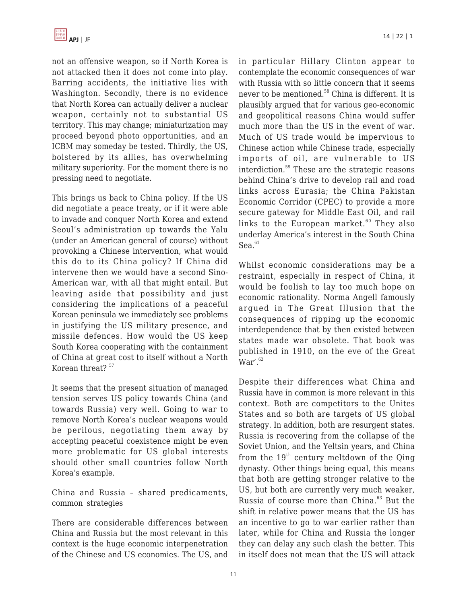

not an offensive weapon, so if North Korea is not attacked then it does not come into play. Barring accidents, the initiative lies with Washington. Secondly, there is no evidence that North Korea can actually deliver a nuclear weapon, certainly not to substantial US territory. This may change; miniaturization may proceed beyond photo opportunities, and an ICBM may someday be tested. Thirdly, the US, bolstered by its allies, has overwhelming military superiority. For the moment there is no pressing need to negotiate.

This brings us back to China policy. If the US did negotiate a peace treaty, or if it were able to invade and conquer North Korea and extend Seoul's administration up towards the Yalu (under an American general of course) without provoking a Chinese intervention, what would this do to its China policy? If China did intervene then we would have a second Sino-American war, with all that might entail. But leaving aside that possibility and just considering the implications of a peaceful Korean peninsula we immediately see problems in justifying the US military presence, and missile defences. How would the US keep South Korea cooperating with the containment of China at great cost to itself without a North Korean threat?<sup>57</sup>

It seems that the present situation of managed tension serves US policy towards China (and towards Russia) very well. Going to war to remove North Korea's nuclear weapons would be perilous, negotiating them away by accepting peaceful coexistence might be even more problematic for US global interests should other small countries follow North Korea's example.

China and Russia – shared predicaments, common strategies

There are considerable differences between China and Russia but the most relevant in this context is the huge economic interpenetration of the Chinese and US economies. The US, and in particular Hillary Clinton appear to contemplate the economic consequences of war with Russia with so little concern that it seems never to be mentioned.<sup>58</sup> China is different. It is plausibly argued that for various geo-economic and geopolitical reasons China would suffer much more than the US in the event of war. Much of US trade would be impervious to Chinese action while Chinese trade, especially imports of oil, are vulnerable to US interdiction.<sup>59</sup> These are the strategic reasons behind China's drive to develop rail and road links across Eurasia; the China Pakistan Economic Corridor (CPEC) to provide a more secure gateway for Middle East Oil, and rail links to the European market. $60$  They also underlay America's interest in the South China  $Sea.<sup>61</sup>$ 

Whilst economic considerations may be a restraint, especially in respect of China, it would be foolish to lay too much hope on economic rationality. Norma Angell famously argued in The Great Illusion that the consequences of ripping up the economic interdependence that by then existed between states made war obsolete. That book was published in 1910, on the eve of the Great  $War'$ .  $62$ 

Despite their differences what China and Russia have in common is more relevant in this context. Both are competitors to the Unites States and so both are targets of US global strategy. In addition, both are resurgent states. Russia is recovering from the collapse of the Soviet Union, and the Yeltsin years, and China from the  $19<sup>th</sup>$  century meltdown of the Qing dynasty. Other things being equal, this means that both are getting stronger relative to the US, but both are currently very much weaker, Russia of course more than China.<sup>63</sup> But the shift in relative power means that the US has an incentive to go to war earlier rather than later, while for China and Russia the longer they can delay any such clash the better. This in itself does not mean that the US will attack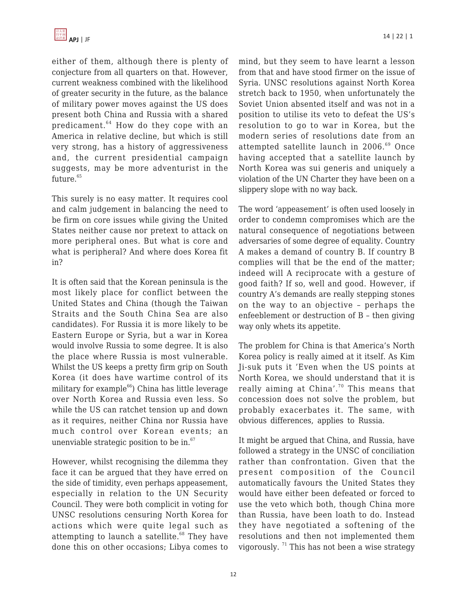either of them, although there is plenty of conjecture from all quarters on that. However, current weakness combined with the likelihood of greater security in the future, as the balance of military power moves against the US does present both China and Russia with a shared predicament.<sup>64</sup> How do they cope with an America in relative decline, but which is still very strong, has a history of aggressiveness and, the current presidential campaign suggests, may be more adventurist in the future.<sup>65</sup>

This surely is no easy matter. It requires cool and calm judgement in balancing the need to be firm on core issues while giving the United States neither cause nor pretext to attack on more peripheral ones. But what is core and what is peripheral? And where does Korea fit in?

It is often said that the Korean peninsula is the most likely place for conflict between the United States and China (though the Taiwan Straits and the South China Sea are also candidates). For Russia it is more likely to be Eastern Europe or Syria, but a war in Korea would involve Russia to some degree. It is also the place where Russia is most vulnerable. Whilst the US keeps a pretty firm grip on South Korea (it does have wartime control of its military for example $^{66}$ ) China has little leverage over North Korea and Russia even less. So while the US can ratchet tension up and down as it requires, neither China nor Russia have much control over Korean events; an unenviable strategic position to be in. $67$ 

However, whilst recognising the dilemma they face it can be argued that they have erred on the side of timidity, even perhaps appeasement, especially in relation to the UN Security Council. They were both complicit in voting for UNSC resolutions censuring North Korea for actions which were quite legal such as attempting to launch a satellite. $68$  They have done this on other occasions; Libya comes to mind, but they seem to have learnt a lesson from that and have stood firmer on the issue of Syria. UNSC resolutions against North Korea stretch back to 1950, when unfortunately the Soviet Union absented itself and was not in a position to utilise its veto to defeat the US's resolution to go to war in Korea, but the modern series of resolutions date from an attempted satellite launch in 2006.<sup>69</sup> Once having accepted that a satellite launch by North Korea was sui generis and uniquely a violation of the UN Charter they have been on a slippery slope with no way back.

The word 'appeasement' is often used loosely in order to condemn compromises which are the natural consequence of negotiations between adversaries of some degree of equality. Country A makes a demand of country B. If country B complies will that be the end of the matter; indeed will A reciprocate with a gesture of good faith? If so, well and good. However, if country A's demands are really stepping stones on the way to an objective – perhaps the enfeeblement or destruction of B – then giving way only whets its appetite.

The problem for China is that America's North Korea policy is really aimed at it itself. As Kim Ji-suk puts it 'Even when the US points at North Korea, we should understand that it is really aiming at China'.<sup>70</sup> This means that concession does not solve the problem, but probably exacerbates it. The same, with obvious differences, applies to Russia.

It might be argued that China, and Russia, have followed a strategy in the UNSC of conciliation rather than confrontation. Given that the present composition of the Council automatically favours the United States they would have either been defeated or forced to use the veto which both, though China more than Russia, have been loath to do. Instead they have negotiated a softening of the resolutions and then not implemented them vigorously.  $71$  This has not been a wise strategy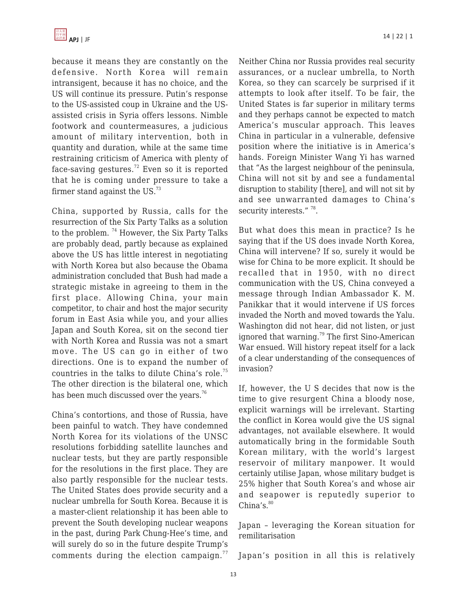

because it means they are constantly on the defensive. North Korea will remain intransigent, because it has no choice, and the US will continue its pressure. Putin's response to the US-assisted coup in Ukraine and the USassisted crisis in Syria offers lessons. Nimble footwork and countermeasures, a judicious amount of military intervention, both in quantity and duration, while at the same time restraining criticism of America with plenty of face-saving gestures.<sup>72</sup> Even so it is reported that he is coming under pressure to take a firmer stand against the US. $^{73}$ 

China, supported by Russia, calls for the resurrection of the Six Party Talks as a solution to the problem.<sup>74</sup> However, the Six Party Talks are probably dead, partly because as explained above the US has little interest in negotiating with North Korea but also because the Obama administration concluded that Bush had made a strategic mistake in agreeing to them in the first place. Allowing China, your main competitor, to chair and host the major security forum in East Asia while you, and your allies Japan and South Korea, sit on the second tier with North Korea and Russia was not a smart move. The US can go in either of two directions. One is to expand the number of countries in the talks to dilute China's role.<sup>75</sup> The other direction is the bilateral one, which has been much discussed over the years.<sup>76</sup>

China's contortions, and those of Russia, have been painful to watch. They have condemned North Korea for its violations of the UNSC resolutions forbidding satellite launches and nuclear tests, but they are partly responsible for the resolutions in the first place. They are also partly responsible for the nuclear tests. The United States does provide security and a nuclear umbrella for South Korea. Because it is a master-client relationship it has been able to prevent the South developing nuclear weapons in the past, during Park Chung-Hee's time, and will surely do so in the future despite Trump's comments during the election campaign. $77$ 

Neither China nor Russia provides real security assurances, or a nuclear umbrella, to North Korea, so they can scarcely be surprised if it attempts to look after itself. To be fair, the United States is far superior in military terms and they perhaps cannot be expected to match America's muscular approach. This leaves China in particular in a vulnerable, defensive position where the initiative is in America's hands. Foreign Minister Wang Yi has warned that "As the largest neighbour of the peninsula, China will not sit by and see a fundamental disruption to stability [there], and will not sit by and see unwarranted damages to China's security interests."<sup>78</sup>.

But what does this mean in practice? Is he saying that if the US does invade North Korea, China will intervene? If so, surely it would be wise for China to be more explicit. It should be recalled that in 1950, with no direct communication with the US, China conveyed a message through Indian Ambassador K. M. Panikkar that it would intervene if US forces invaded the North and moved towards the Yalu. Washington did not hear, did not listen, or just ignored that warning.<sup>79</sup> The first Sino-American War ensued. Will history repeat itself for a lack of a clear understanding of the consequences of invasion?

If, however, the U S decides that now is the time to give resurgent China a bloody nose, explicit warnings will be irrelevant. Starting the conflict in Korea would give the US signal advantages, not available elsewhere. It would automatically bring in the formidable South Korean military, with the world's largest reservoir of military manpower. It would certainly utilise Japan, whose military budget is 25% higher that South Korea's and whose air and seapower is reputedly superior to  $China's.<sup>80</sup>$ 

Japan – leveraging the Korean situation for remilitarisation

Japan's position in all this is relatively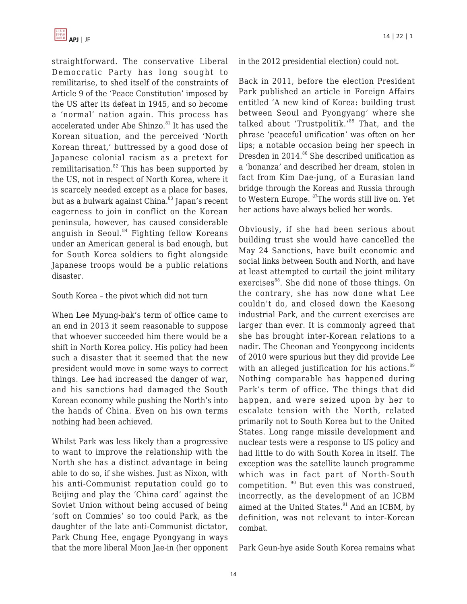straightforward. The conservative Liberal Democratic Party has long sought to remilitarise, to shed itself of the constraints of Article 9 of the 'Peace Constitution' imposed by the US after its defeat in 1945, and so become a 'normal' nation again. This process has accelerated under Abe Shinzo.<sup>81</sup> It has used the Korean situation, and the perceived 'North Korean threat,' buttressed by a good dose of Japanese colonial racism as a pretext for remilitarisation. $82$  This has been supported by the US, not in respect of North Korea, where it is scarcely needed except as a place for bases, but as a bulwark against China.<sup>83</sup> Japan's recent eagerness to join in conflict on the Korean peninsula, however, has caused considerable anguish in Seoul.<sup>84</sup> Fighting fellow Koreans under an American general is bad enough, but for South Korea soldiers to fight alongside Japanese troops would be a public relations disaster.

#### South Korea – the pivot which did not turn

When Lee Myung-bak's term of office came to an end in 2013 it seem reasonable to suppose that whoever succeeded him there would be a shift in North Korea policy. His policy had been such a disaster that it seemed that the new president would move in some ways to correct things. Lee had increased the danger of war, and his sanctions had damaged the South Korean economy while pushing the North's into the hands of China. Even on his own terms nothing had been achieved.

Whilst Park was less likely than a progressive to want to improve the relationship with the North she has a distinct advantage in being able to do so, if she wishes. Just as Nixon, with his anti-Communist reputation could go to Beijing and play the 'China card' against the Soviet Union without being accused of being 'soft on Commies' so too could Park, as the daughter of the late anti-Communist dictator, Park Chung Hee, engage Pyongyang in ways that the more liberal Moon Jae-in (her opponent in the 2012 presidential election) could not.

Back in 2011, before the election President Park published an article in Foreign Affairs entitled 'A new kind of Korea: building trust between Seoul and Pyongyang' where she talked about 'Trustpolitik.'<sup>85</sup> That, and the phrase 'peaceful unification' was often on her lips; a notable occasion being her speech in Dresden in  $2014$ .<sup>86</sup> She described unification as a 'bonanza' and described her dream, stolen in fact from Kim Dae-jung, of a Eurasian land bridge through the Koreas and Russia through to Western Europe. <sup>87</sup>The words still live on. Yet her actions have always belied her words.

Obviously, if she had been serious about building trust she would have cancelled the May 24 Sanctions, have built economic and social links between South and North, and have at least attempted to curtail the joint military exercises<sup>88</sup>. She did none of those things. On the contrary, she has now done what Lee couldn't do, and closed down the Kaesong industrial Park, and the current exercises are larger than ever. It is commonly agreed that she has brought inter-Korean relations to a nadir. The Cheonan and Yeonpyeong incidents of 2010 were spurious but they did provide Lee with an alleged justification for his actions.<sup>89</sup> Nothing comparable has happened during Park's term of office. The things that did happen, and were seized upon by her to escalate tension with the North, related primarily not to South Korea but to the United States. Long range missile development and nuclear tests were a response to US policy and had little to do with South Korea in itself. The exception was the satellite launch programme which was in fact part of North-South competition. <sup>90</sup> But even this was construed, incorrectly, as the development of an ICBM aimed at the United States.<sup>91</sup> And an ICBM, by definition, was not relevant to inter-Korean combat.

Park Geun-hye aside South Korea remains what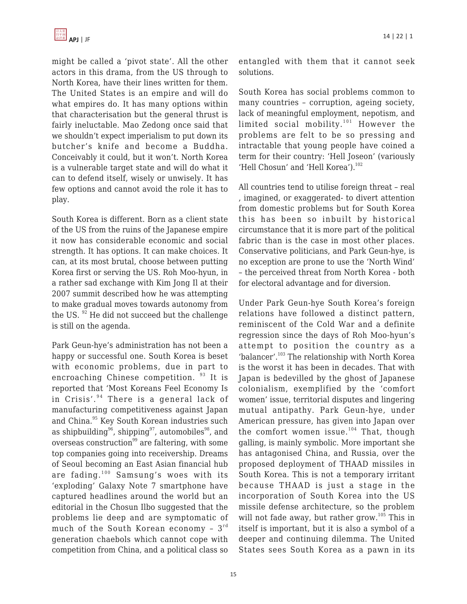might be called a 'pivot state'. All the other actors in this drama, from the US through to North Korea, have their lines written for them. The United States is an empire and will do what empires do. It has many options within that characterisation but the general thrust is fairly ineluctable. Mao Zedong once said that we shouldn't expect imperialism to put down its butcher's knife and become a Buddha. Conceivably it could, but it won't. North Korea is a vulnerable target state and will do what it can to defend itself, wisely or unwisely. It has few options and cannot avoid the role it has to play.

South Korea is different. Born as a client state of the US from the ruins of the Japanese empire it now has considerable economic and social strength. It has options. It can make choices. It can, at its most brutal, choose between putting Korea first or serving the US. Roh Moo-hyun, in a rather sad exchange with Kim Jong Il at their 2007 summit described how he was attempting to make gradual moves towards autonomy from the US. <sup>92</sup> He did not succeed but the challenge is still on the agenda.

Park Geun-hye's administration has not been a happy or successful one. South Korea is beset with economic problems, due in part to encroaching Chinese competition. <sup>93</sup> It is reported that 'Most Koreans Feel Economy Is in Crisis'.<sup>94</sup> There is a general lack of manufacturing competitiveness against Japan and China.<sup>95</sup> Key South Korean industries such as shipbuilding<sup>96</sup>, shipping<sup>97</sup>, automobiles<sup>98</sup>, and overseas construction<sup>99</sup> are faltering, with some top companies going into receivership. Dreams of Seoul becoming an East Asian financial hub are fading.<sup>100</sup> Samsung's woes with its 'exploding' Galaxy Note 7 smartphone have captured headlines around the world but an editorial in the Chosun Ilbo suggested that the problems lie deep and are symptomatic of much of the South Korean economy -  $3^{rd}$ generation chaebols which cannot cope with competition from China, and a political class so

entangled with them that it cannot seek solutions.

South Korea has social problems common to many countries – corruption, ageing society, lack of meaningful employment, nepotism, and limited social mobility. $101$  However the problems are felt to be so pressing and intractable that young people have coined a term for their country: 'Hell Joseon' (variously 'Hell Chosun' and 'Hell Korea'). $102$ 

All countries tend to utilise foreign threat – real , imagined, or exaggerated- to divert attention from domestic problems but for South Korea this has been so inbuilt by historical circumstance that it is more part of the political fabric than is the case in most other places. Conservative politicians, and Park Geun-hye, is no exception are prone to use the 'North Wind' – the perceived threat from North Korea - both for electoral advantage and for diversion.

Under Park Geun-hye South Korea's foreign relations have followed a distinct pattern, reminiscent of the Cold War and a definite regression since the days of Roh Moo-hyun's attempt to position the country as a 'balancer'.<sup>103</sup> The relationship with North Korea is the worst it has been in decades. That with Japan is bedevilled by the ghost of Japanese colonialism, exemplified by the 'comfort women' issue, territorial disputes and lingering mutual antipathy. Park Geun-hye, under American pressure, has given into Japan over the comfort women issue. $104$  That, though galling, is mainly symbolic. More important she has antagonised China, and Russia, over the proposed deployment of THAAD missiles in South Korea. This is not a temporary irritant because THAAD is just a stage in the incorporation of South Korea into the US missile defense architecture, so the problem will not fade away, but rather grow.<sup>105</sup> This in itself is important, but it is also a symbol of a deeper and continuing dilemma. The United States sees South Korea as a pawn in its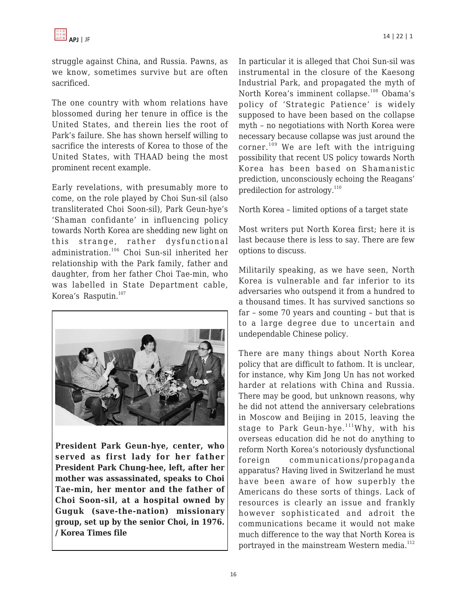

struggle against China, and Russia. Pawns, as we know, sometimes survive but are often sacrificed.

The one country with whom relations have blossomed during her tenure in office is the United States, and therein lies the root of Park's failure. She has shown herself willing to sacrifice the interests of Korea to those of the United States, with THAAD being the most prominent recent example.

Early revelations, with presumably more to come, on the role played by Choi Sun-sil (also transliterated Choi Soon-sil), Park Geun-hye's 'Shaman confidante' in influencing policy towards North Korea are shedding new light on this strange, rather dysfunctional administration.<sup>106</sup> Choi Sun-sil inherited her relationship with the Park family, father and daughter, from her father Choi Tae-min, who was labelled in State Department cable, Korea's Rasputin.<sup>107</sup>



**President Park Geun-hye, center, who served as first lady for her father President Park Chung-hee, left, after her mother was assassinated, speaks to Choi Tae-min, her mentor and the father of Choi Soon-sil, at a hospital owned by Guguk (save-the-nation) missionary group, set up by the senior Choi, in 1976. / Korea Times file**

In particular it is alleged that Choi Sun-sil was instrumental in the closure of the Kaesong Industrial Park, and propagated the myth of North Korea's imminent collapse.<sup>108</sup> Obama's policy of 'Strategic Patience' is widely supposed to have been based on the collapse myth – no negotiations with North Korea were necessary because collapse was just around the corner.<sup>109</sup> We are left with the intriguing possibility that recent US policy towards North Korea has been based on Shamanistic prediction, unconsciously echoing the Reagans' predilection for astrology.<sup>110</sup>

North Korea – limited options of a target state

Most writers put North Korea first; here it is last because there is less to say. There are few options to discuss.

Militarily speaking, as we have seen, North Korea is vulnerable and far inferior to its adversaries who outspend it from a hundred to a thousand times. It has survived sanctions so far – some 70 years and counting – but that is to a large degree due to uncertain and undependable Chinese policy.

There are many things about North Korea policy that are difficult to fathom. It is unclear, for instance, why Kim Jong Un has not worked harder at relations with China and Russia. There may be good, but unknown reasons, why he did not attend the anniversary celebrations in Moscow and Beijing in 2015, leaving the stage to Park Geun-hye. $111$ Why, with his overseas education did he not do anything to reform North Korea's notoriously dysfunctional foreign communications/propaganda apparatus? Having lived in Switzerland he must have been aware of how superbly the Americans do these sorts of things. Lack of resources is clearly an issue and frankly however sophisticated and adroit the communications became it would not make much difference to the way that North Korea is portrayed in the mainstream Western media.<sup>112</sup>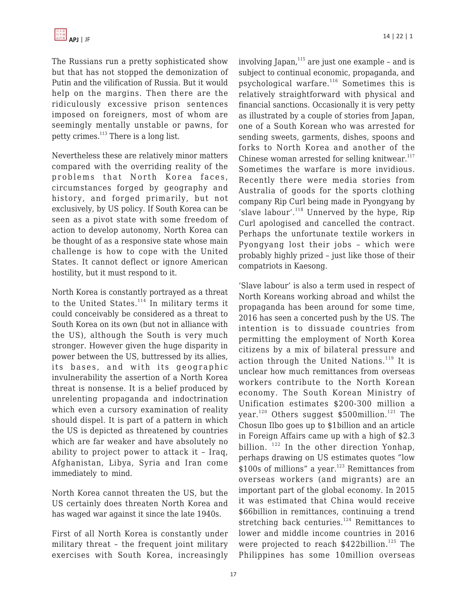The Russians run a pretty sophisticated show but that has not stopped the demonization of Putin and the vilification of Russia. But it would help on the margins. Then there are the ridiculously excessive prison sentences imposed on foreigners, most of whom are seemingly mentally unstable or pawns, for petty crimes.<sup>113</sup> There is a long list.

Nevertheless these are relatively minor matters compared with the overriding reality of the problems that North Korea faces, circumstances forged by geography and history, and forged primarily, but not exclusively, by US policy. If South Korea can be seen as a pivot state with some freedom of action to develop autonomy, North Korea can be thought of as a responsive state whose main challenge is how to cope with the United States. It cannot deflect or ignore American hostility, but it must respond to it.

North Korea is constantly portrayed as a threat to the United States. $114}$  In military terms it could conceivably be considered as a threat to South Korea on its own (but not in alliance with the US), although the South is very much stronger. However given the huge disparity in power between the US, buttressed by its allies, its bases, and with its geographic invulnerability the assertion of a North Korea threat is nonsense. It is a belief produced by unrelenting propaganda and indoctrination which even a cursory examination of reality should dispel. It is part of a pattern in which the US is depicted as threatened by countries which are far weaker and have absolutely no ability to project power to attack it – Iraq, Afghanistan, Libya, Syria and Iran come immediately to mind.

North Korea cannot threaten the US, but the US certainly does threaten North Korea and has waged war against it since the late 1940s.

First of all North Korea is constantly under military threat – the frequent joint military exercises with South Korea, increasingly involving Japan, $115$  are just one example - and is subject to continual economic, propaganda, and psychological warfare.<sup>116</sup> Sometimes this is relatively straightforward with physical and financial sanctions. Occasionally it is very petty as illustrated by a couple of stories from Japan, one of a South Korean who was arrested for sending sweets, garments, dishes, spoons and forks to North Korea and another of the Chinese woman arrested for selling knitwear. $117$ Sometimes the warfare is more invidious. Recently there were media stories from Australia of goods for the sports clothing company Rip Curl being made in Pyongyang by 'slave labour'. $118}$  Unnerved by the hype, Rip Curl apologised and cancelled the contract. Perhaps the unfortunate textile workers in Pyongyang lost their jobs – which were probably highly prized – just like those of their compatriots in Kaesong.

'Slave labour' is also a term used in respect of North Koreans working abroad and whilst the propaganda has been around for some time, 2016 has seen a concerted push by the US. The intention is to dissuade countries from permitting the employment of North Korea citizens by a mix of bilateral pressure and action through the United Nations.<sup>119</sup> It is unclear how much remittances from overseas workers contribute to the North Korean economy. The South Korean Ministry of Unification estimates \$200-300 million a year.<sup>120</sup> Others suggest \$500million.<sup>121</sup> The Chosun Ilbo goes up to \$1billion and an article in Foreign Affairs came up with a high of \$2.3 billion. <sup>122</sup> In the other direction Yonhap, perhaps drawing on US estimates quotes "low  $$100s$  of millions" a year.<sup>123</sup> Remittances from overseas workers (and migrants) are an important part of the global economy. In 2015 it was estimated that China would receive \$66billion in remittances, continuing a trend stretching back centuries.<sup>124</sup> Remittances to lower and middle income countries in 2016 were projected to reach  $$422$ billion.<sup>125</sup> The Philippines has some 10million overseas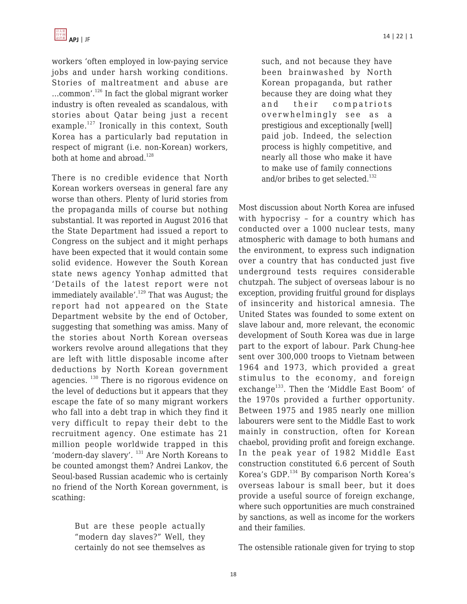

workers 'often employed in low-paying service jobs and under harsh working conditions. Stories of maltreatment and abuse are …common'.<sup>126</sup> In fact the global migrant worker industry is often revealed as scandalous, with stories about Qatar being just a recent example.<sup>127</sup> Ironically in this context, South Korea has a particularly bad reputation in respect of migrant (i.e. non-Korean) workers, both at home and abroad.<sup>128</sup>

There is no credible evidence that North Korean workers overseas in general fare any worse than others. Plenty of lurid stories from the propaganda mills of course but nothing substantial. It was reported in August 2016 that the State Department had issued a report to Congress on the subject and it might perhaps have been expected that it would contain some solid evidence. However the South Korean state news agency Yonhap admitted that 'Details of the latest report were not immediately available'.<sup>129</sup> That was August; the report had not appeared on the State Department website by the end of October, suggesting that something was amiss. Many of the stories about North Korean overseas workers revolve around allegations that they are left with little disposable income after deductions by North Korean government agencies.  $130$  There is no rigorous evidence on the level of deductions but it appears that they escape the fate of so many migrant workers who fall into a debt trap in which they find it very difficult to repay their debt to the recruitment agency. One estimate has 21 million people worldwide trapped in this 'modern-day slavery'. <sup>131</sup> Are North Koreans to be counted amongst them? Andrei Lankov, the Seoul-based Russian academic who is certainly no friend of the North Korean government, is scathing:

> But are these people actually "modern day slaves?" Well, they certainly do not see themselves as

such, and not because they have been brainwashed by North Korean propaganda, but rather because they are doing what they and their compatriots overwhelmingly see as a prestigious and exceptionally [well] paid job. Indeed, the selection process is highly competitive, and nearly all those who make it have to make use of family connections and/or bribes to get selected.<sup>132</sup>

Most discussion about North Korea are infused with hypocrisy – for a country which has conducted over a 1000 nuclear tests, many atmospheric with damage to both humans and the environment, to express such indignation over a country that has conducted just five underground tests requires considerable chutzpah. The subject of overseas labour is no exception, providing fruitful ground for displays of insincerity and historical amnesia. The United States was founded to some extent on slave labour and, more relevant, the economic development of South Korea was due in large part to the export of labour. Park Chung-hee sent over 300,000 troops to Vietnam between 1964 and 1973, which provided a great stimulus to the economy, and foreign exchange<sup>133</sup>. Then the 'Middle East Boom' of the 1970s provided a further opportunity. Between 1975 and 1985 nearly one million labourers were sent to the Middle East to work mainly in construction, often for Korean chaebol, providing profit and foreign exchange. In the peak year of 1982 Middle East construction constituted 6.6 percent of South Korea's GDP.<sup>134</sup> By comparison North Korea's overseas labour is small beer, but it does provide a useful source of foreign exchange, where such opportunities are much constrained by sanctions, as well as income for the workers and their families.

The ostensible rationale given for trying to stop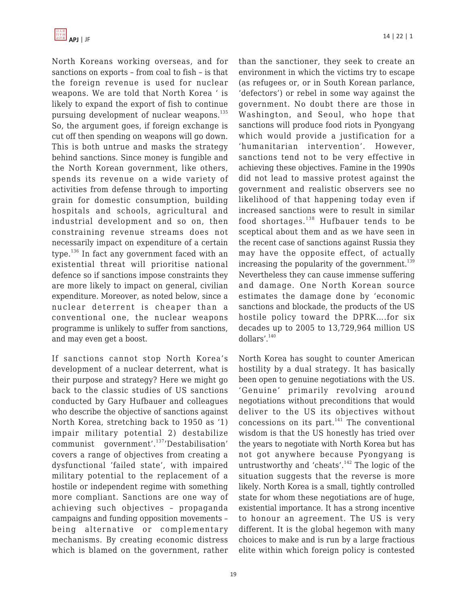North Koreans working overseas, and for sanctions on exports – from coal to fish – is that the foreign revenue is used for nuclear weapons. We are told that North Korea ' is likely to expand the export of fish to continue pursuing development of nuclear weapons.<sup>135</sup> So, the argument goes, if foreign exchange is cut off then spending on weapons will go down. This is both untrue and masks the strategy behind sanctions. Since money is fungible and the North Korean government, like others, spends its revenue on a wide variety of activities from defense through to importing grain for domestic consumption, building hospitals and schools, agricultural and industrial development and so on, then constraining revenue streams does not necessarily impact on expenditure of a certain type. $136$  In fact any government faced with an existential threat will prioritise national defence so if sanctions impose constraints they are more likely to impact on general, civilian expenditure. Moreover, as noted below, since a nuclear deterrent is cheaper than a conventional one, the nuclear weapons programme is unlikely to suffer from sanctions, and may even get a boost.

If sanctions cannot stop North Korea's development of a nuclear deterrent, what is their purpose and strategy? Here we might go back to the classic studies of US sanctions conducted by Gary Hufbauer and colleagues who describe the objective of sanctions against North Korea, stretching back to 1950 as '1) impair military potential 2) destabilize communist government'.<sup>137</sup>'Destabilisation' covers a range of objectives from creating a dysfunctional 'failed state', with impaired military potential to the replacement of a hostile or independent regime with something more compliant. Sanctions are one way of achieving such objectives – propaganda campaigns and funding opposition movements – being alternative or complementary mechanisms. By creating economic distress which is blamed on the government, rather than the sanctioner, they seek to create an environment in which the victims try to escape (as refugees or, or in South Korean parlance, 'defectors') or rebel in some way against the government. No doubt there are those in Washington, and Seoul, who hope that sanctions will produce food riots in Pyongyang which would provide a justification for a 'humanitarian intervention'. However, sanctions tend not to be very effective in achieving these objectives. Famine in the 1990s did not lead to massive protest against the government and realistic observers see no likelihood of that happening today even if increased sanctions were to result in similar food shortages.<sup>138</sup> Hufbauer tends to be sceptical about them and as we have seen in the recent case of sanctions against Russia they may have the opposite effect, of actually increasing the popularity of the government. $139$ Nevertheless they can cause immense suffering and damage. One North Korean source estimates the damage done by 'economic sanctions and blockade, the products of the US hostile policy toward the DPRK….for six decades up to 2005 to 13,729,964 million US dollars'.<sup>140</sup>

North Korea has sought to counter American hostility by a dual strategy. It has basically been open to genuine negotiations with the US. 'Genuine' primarily revolving around negotiations without preconditions that would deliver to the US its objectives without concessions on its part. $141$  The conventional wisdom is that the US honestly has tried over the years to negotiate with North Korea but has not got anywhere because Pyongyang is untrustworthy and 'cheats'. $142$  The logic of the situation suggests that the reverse is more likely. North Korea is a small, tightly controlled state for whom these negotiations are of huge, existential importance. It has a strong incentive to honour an agreement. The US is very different. It is the global hegemon with many choices to make and is run by a large fractious elite within which foreign policy is contested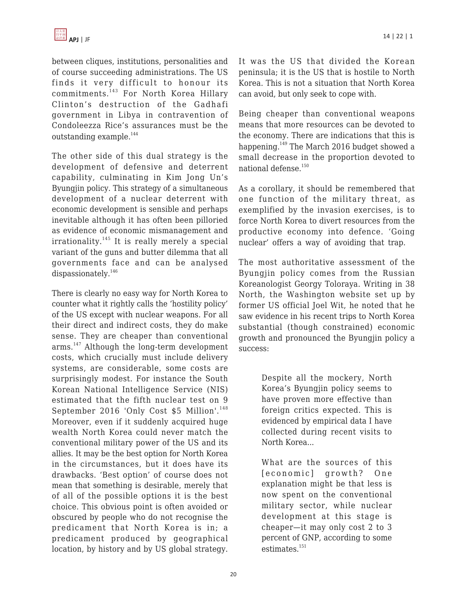between cliques, institutions, personalities and of course succeeding administrations. The US finds it very difficult to honour its commitments.<sup>143</sup> For North Korea Hillary Clinton's destruction of the Gadhafi government in Libya in contravention of Condoleezza Rice's assurances must be the outstanding example. $144$ 

The other side of this dual strategy is the development of defensive and deterrent capability, culminating in Kim Jong Un's Byungjin policy. This strategy of a simultaneous development of a nuclear deterrent with economic development is sensible and perhaps inevitable although it has often been pilloried as evidence of economic mismanagement and  $irrationality.<sup>145</sup>$  It is really merely a special variant of the guns and butter dilemma that all governments face and can be analysed dispassionately.<sup>146</sup>

There is clearly no easy way for North Korea to counter what it rightly calls the 'hostility policy' of the US except with nuclear weapons. For all their direct and indirect costs, they do make sense. They are cheaper than conventional arms.<sup>147</sup> Although the long-term development costs, which crucially must include delivery systems, are considerable, some costs are surprisingly modest. For instance the South Korean National Intelligence Service (NIS) estimated that the fifth nuclear test on 9 September 2016 'Only Cost \$5 Million'.<sup>148</sup> Moreover, even if it suddenly acquired huge wealth North Korea could never match the conventional military power of the US and its allies. It may be the best option for North Korea in the circumstances, but it does have its drawbacks. 'Best option' of course does not mean that something is desirable, merely that of all of the possible options it is the best choice. This obvious point is often avoided or obscured by people who do not recognise the predicament that North Korea is in; a predicament produced by geographical location, by history and by US global strategy. It was the US that divided the Korean peninsula; it is the US that is hostile to North Korea. This is not a situation that North Korea can avoid, but only seek to cope with.

Being cheaper than conventional weapons means that more resources can be devoted to the economy. There are indications that this is happening.<sup>149</sup> The March 2016 budget showed a small decrease in the proportion devoted to national defense.<sup>150</sup>

As a corollary, it should be remembered that one function of the military threat, as exemplified by the invasion exercises, is to force North Korea to divert resources from the productive economy into defence. 'Going nuclear' offers a way of avoiding that trap.

The most authoritative assessment of the Byungjin policy comes from the Russian Koreanologist Georgy Toloraya. Writing in 38 North, the Washington website set up by former US official Joel Wit, he noted that he saw evidence in his recent trips to North Korea substantial (though constrained) economic growth and pronounced the Byungjin policy a success:

> Despite all the mockery, North Korea's Byungjin policy seems to have proven more effective than foreign critics expected. This is evidenced by empirical data I have collected during recent visits to North Korea...

> What are the sources of this [economic] growth? One explanation might be that less is now spent on the conventional military sector, while nuclear development at this stage is cheaper—it may only cost 2 to 3 percent of GNP, according to some estimates.<sup>151</sup>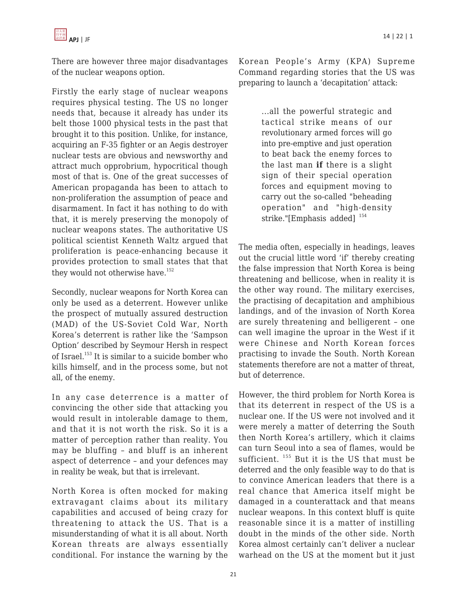

There are however three major disadvantages of the nuclear weapons option.

Firstly the early stage of nuclear weapons requires physical testing. The US no longer needs that, because it already has under its belt those 1000 physical tests in the past that brought it to this position. Unlike, for instance, acquiring an F-35 fighter or an Aegis destroyer nuclear tests are obvious and newsworthy and attract much opprobrium, hypocritical though most of that is. One of the great successes of American propaganda has been to attach to non-proliferation the assumption of peace and disarmament. In fact it has nothing to do with that, it is merely preserving the monopoly of nuclear weapons states. The authoritative US political scientist Kenneth Waltz argued that proliferation is peace-enhancing because it provides protection to small states that that they would not otherwise have.<sup>152</sup>

Secondly, nuclear weapons for North Korea can only be used as a deterrent. However unlike the prospect of mutually assured destruction (MAD) of the US-Soviet Cold War, North Korea's deterrent is rather like the 'Sampson Option' described by Seymour Hersh in respect of Israel.<sup>153</sup> It is similar to a suicide bomber who kills himself, and in the process some, but not all, of the enemy.

In any case deterrence is a matter of convincing the other side that attacking you would result in intolerable damage to them, and that it is not worth the risk. So it is a matter of perception rather than reality. You may be bluffing – and bluff is an inherent aspect of deterrence – and your defences may in reality be weak, but that is irrelevant.

North Korea is often mocked for making extravagant claims about its military capabilities and accused of being crazy for threatening to attack the US. That is a misunderstanding of what it is all about. North Korean threats are always essentially conditional. For instance the warning by the Korean People's Army (KPA) Supreme Command regarding stories that the US was preparing to launch a 'decapitation' attack:

> ...all the powerful strategic and tactical strike means of our revolutionary armed forces will go into pre-emptive and just operation to beat back the enemy forces to the last man **if** there is a slight sign of their special operation forces and equipment moving to carry out the so-called "beheading operation" and "high-density strike."[Emphasis added]<sup>154</sup>

The media often, especially in headings, leaves out the crucial little word 'if' thereby creating the false impression that North Korea is being threatening and bellicose, when in reality it is the other way round. The military exercises, the practising of decapitation and amphibious landings, and of the invasion of North Korea are surely threatening and belligerent – one can well imagine the uproar in the West if it were Chinese and North Korean forces practising to invade the South. North Korean statements therefore are not a matter of threat, but of deterrence.

However, the third problem for North Korea is that its deterrent in respect of the US is a nuclear one. If the US were not involved and it were merely a matter of deterring the South then North Korea's artillery, which it claims can turn Seoul into a sea of flames, would be sufficient. <sup>155</sup> But it is the US that must be deterred and the only feasible way to do that is to convince American leaders that there is a real chance that America itself might be damaged in a counterattack and that means nuclear weapons. In this context bluff is quite reasonable since it is a matter of instilling doubt in the minds of the other side. North Korea almost certainly can't deliver a nuclear warhead on the US at the moment but it just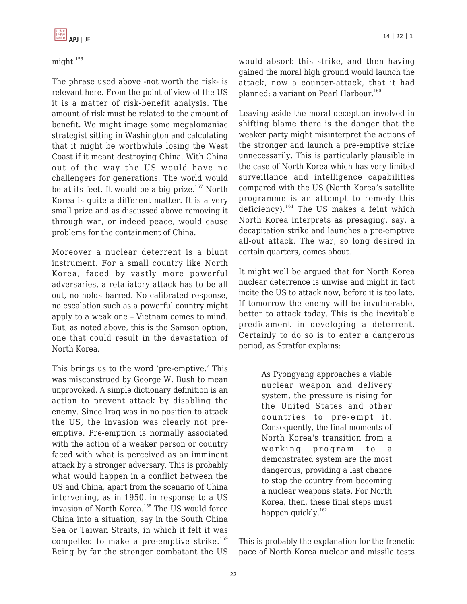

## might.<sup>156</sup>

The phrase used above -not worth the risk- is relevant here. From the point of view of the US it is a matter of risk-benefit analysis. The amount of risk must be related to the amount of benefit. We might image some megalomaniac strategist sitting in Washington and calculating that it might be worthwhile losing the West Coast if it meant destroying China. With China out of the way the US would have no challengers for generations. The world would be at its feet. It would be a big prize. $157$  North Korea is quite a different matter. It is a very small prize and as discussed above removing it through war, or indeed peace, would cause problems for the containment of China.

Moreover a nuclear deterrent is a blunt instrument. For a small country like North Korea, faced by vastly more powerful adversaries, a retaliatory attack has to be all out, no holds barred. No calibrated response, no escalation such as a powerful country might apply to a weak one – Vietnam comes to mind. But, as noted above, this is the Samson option, one that could result in the devastation of North Korea.

This brings us to the word 'pre-emptive.' This was misconstrued by George W. Bush to mean unprovoked. A simple dictionary definition is an action to prevent attack by disabling the enemy. Since Iraq was in no position to attack the US, the invasion was clearly not preemptive. Pre-emption is normally associated with the action of a weaker person or country faced with what is perceived as an imminent attack by a stronger adversary. This is probably what would happen in a conflict between the US and China, apart from the scenario of China intervening, as in 1950, in response to a US invasion of North Korea.<sup>158</sup> The US would force China into a situation, say in the South China Sea or Taiwan Straits, in which it felt it was compelled to make a pre-emptive strike.<sup>159</sup> Being by far the stronger combatant the US would absorb this strike, and then having gained the moral high ground would launch the attack, now a counter-attack, that it had planned; a variant on Pearl Harbour.<sup>160</sup>

Leaving aside the moral deception involved in shifting blame there is the danger that the weaker party might misinterpret the actions of the stronger and launch a pre-emptive strike unnecessarily. This is particularly plausible in the case of North Korea which has very limited surveillance and intelligence capabilities compared with the US (North Korea's satellite programme is an attempt to remedy this deficiency).<sup>161</sup> The US makes a feint which North Korea interprets as presaging, say, a decapitation strike and launches a pre-emptive all-out attack. The war, so long desired in certain quarters, comes about.

It might well be argued that for North Korea nuclear deterrence is unwise and might in fact incite the US to attack now, before it is too late. If tomorrow the enemy will be invulnerable, better to attack today. This is the inevitable predicament in developing a deterrent. Certainly to do so is to enter a dangerous period, as Stratfor explains:

> As Pyongyang approaches a viable nuclear weapon and delivery system, the pressure is rising for the United States and other countries to pre-empt it. Consequently, the final moments of North Korea's transition from a working program to a demonstrated system are the most dangerous, providing a last chance to stop the country from becoming a nuclear weapons state. For North Korea, then, these final steps must happen quickly.<sup>162</sup>

This is probably the explanation for the frenetic pace of North Korea nuclear and missile tests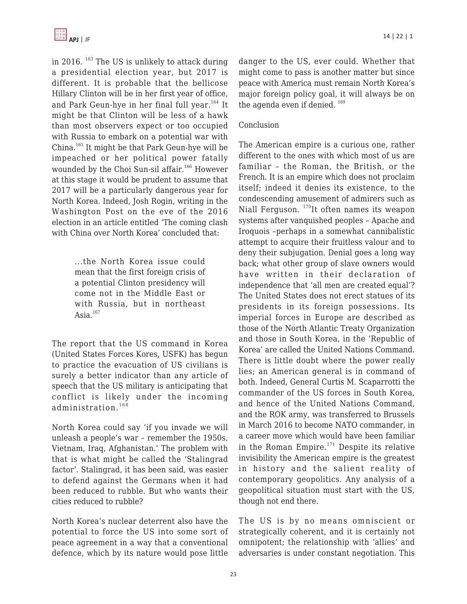in 2016.  $^{163}$  The US is unlikely to attack during a presidential election year, but 2017 is different. It is probable that the bellicose Hillary Clinton will be in her first year of office, and Park Geun-hye in her final full year.<sup>164</sup> It might be that Clinton will be less of a hawk than most observers expect or too occupied with Russia to embark on a potential war with China.<sup>165</sup> It might be that Park Geun-hye will be impeached or her political power fatally wounded by the Choi Sun-sil affair.<sup>166</sup> However at this stage it would be prudent to assume that 2017 will be a particularly dangerous year for North Korea. Indeed, Josh Rogin, writing in the Washington Post on the eve of the 2016 election in an article entitled 'The coming clash with China over North Korea' concluded that:

> ...the North Korea issue could mean that the first foreign crisis of a potential Clinton presidency will come not in the Middle East or with Russia, but in northeast Asia. $167$

The report that the US command in Korea (United States Forces Kores, USFK) has begun to practice the evacuation of US civilians is surely a better indicator than any article of speech that the US military is anticipating that conflict is likely under the incoming administration. <sup>168</sup>

North Korea could say 'if you invade we will unleash a people's war – remember the 1950s, Vietnam, Iraq, Afghanistan.' The problem with that is what might be called the 'Stalingrad factor'. Stalingrad, it has been said, was easier to defend against the Germans when it had been reduced to rubble. But who wants their cities reduced to rubble?

North Korea's nuclear deterrent also have the potential to force the US into some sort of peace agreement in a way that a conventional defence, which by its nature would pose little danger to the US, ever could. Whether that might come to pass is another matter but since peace with America must remain North Korea's major foreign policy goal, it will always be on the agenda even if denied.  $169$ 

### Conclusion

The American empire is a curious one, rather different to the ones with which most of us are familiar – the Roman, the British, or the French. It is an empire which does not proclaim itself; indeed it denies its existence, to the condescending amusement of admirers such as Niall Ferguson. <sup>170</sup>It often names its weapon systems after vanquished peoples – Apache and Iroquois –perhaps in a somewhat cannibalistic attempt to acquire their fruitless valour and to deny their subjugation. Denial goes a long way back; what other group of slave owners would have written in their declaration of independence that 'all men are created equal'? The United States does not erect statues of its presidents in its foreign possessions. Its imperial forces in Europe are described as those of the North Atlantic Treaty Organization and those in South Korea, in the 'Republic of Korea' are called the United Nations Command. There is little doubt where the power really lies; an American general is in command of both. Indeed, General Curtis M. Scaparrotti the commander of the US forces in South Korea, and hence of the United Nations Command, and the ROK army, was transferred to Brussels in March 2016 to become NATO commander, in a career move which would have been familiar in the Roman Empire.<sup>171</sup> Despite its relative invisibility the American empire is the greatest in history and the salient reality of contemporary geopolitics. Any analysis of a geopolitical situation must start with the US, though not end there.

The US is by no means omniscient or strategically coherent, and it is certainly not omnipotent; the relationship with 'allies' and adversaries is under constant negotiation. This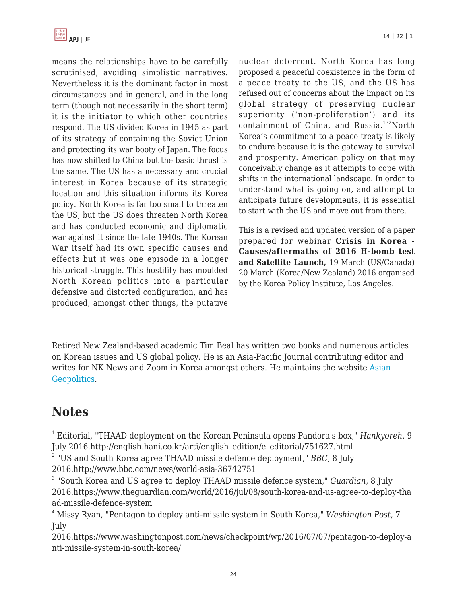

means the relationships have to be carefully scrutinised, avoiding simplistic narratives. Nevertheless it is the dominant factor in most circumstances and in general, and in the long term (though not necessarily in the short term) it is the initiator to which other countries respond. The US divided Korea in 1945 as part of its strategy of containing the Soviet Union and protecting its war booty of Japan. The focus has now shifted to China but the basic thrust is the same. The US has a necessary and crucial interest in Korea because of its strategic location and this situation informs its Korea policy. North Korea is far too small to threaten the US, but the US does threaten North Korea and has conducted economic and diplomatic war against it since the late 1940s. The Korean War itself had its own specific causes and effects but it was one episode in a longer historical struggle. This hostility has moulded North Korean politics into a particular defensive and distorted configuration, and has produced, amongst other things, the putative nuclear deterrent. North Korea has long proposed a peaceful coexistence in the form of a peace treaty to the US, and the US has refused out of concerns about the impact on its global strategy of preserving nuclear superiority ('non-proliferation') and its containment of China, and Russia.<sup>172</sup>North Korea's commitment to a peace treaty is likely to endure because it is the gateway to survival and prosperity. American policy on that may conceivably change as it attempts to cope with shifts in the international landscape. In order to understand what is going on, and attempt to anticipate future developments, it is essential to start with the US and move out from there.

This is a revised and updated version of a paper prepared for webinar **Crisis in Korea - Causes/aftermaths of 2016 H-bomb test and Satellite Launch,** 19 March (US/Canada) 20 March (Korea/New Zealand) 2016 organised by the Korea Policy Institute, Los Angeles.

Retired New Zealand-based academic Tim Beal has written two books and numerous articles on Korean issues and US global policy. He is an Asia-Pacific Journal contributing editor and writes for NK News and Zoom in Korea amongst others. He maintains the website [Asian](http://www.timbeal.net.nz/geopolitics/) [Geopolitics](http://www.timbeal.net.nz/geopolitics/).

# **Notes**

1 Editorial, "THAAD deployment on the Korean Peninsula opens Pandora's box," *Hankyoreh*, 9 July 2016.http://english.hani.co.kr/arti/english\_edition/e\_editorial/751627.html

2 "US and South Korea agree THAAD missile defence deployment," *BBC*, 8 July 2016.http://www.bbc.com/news/world-asia-36742751

3 "South Korea and US agree to deploy THAAD missile defence system," *Guardian*, 8 July 2016.https://www.theguardian.com/world/2016/jul/08/south-korea-and-us-agree-to-deploy-tha ad-missile-defence-system

<sup>4</sup> Missy Ryan, "Pentagon to deploy anti-missile system in South Korea," *Washington Post*, 7 July

2016.https://www.washingtonpost.com/news/checkpoint/wp/2016/07/07/pentagon-to-deploy-a nti-missile-system-in-south-korea/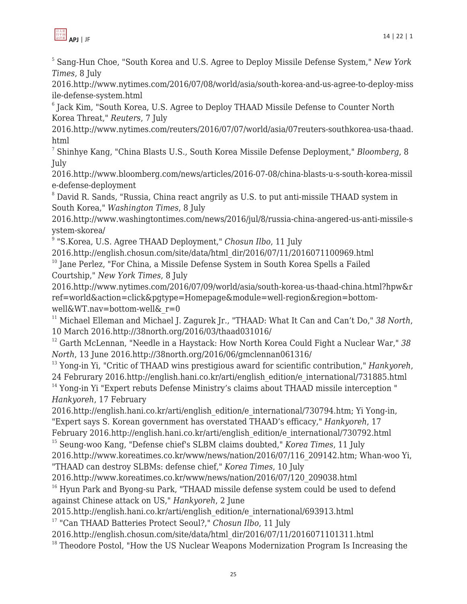

5 Sang-Hun Choe, "South Korea and U.S. Agree to Deploy Missile Defense System," *New York Times*, 8 July

2016.http://www.nytimes.com/2016/07/08/world/asia/south-korea-and-us-agree-to-deploy-miss ile-defense-system.html

6 Jack Kim, "South Korea, U.S. Agree to Deploy THAAD Missile Defense to Counter North Korea Threat," *Reuters*, 7 July

2016.http://www.nytimes.com/reuters/2016/07/07/world/asia/07reuters-southkorea-usa-thaad. html

7 Shinhye Kang, "China Blasts U.S., South Korea Missile Defense Deployment," *Bloomberg*, 8 July

2016.http://www.bloomberg.com/news/articles/2016-07-08/china-blasts-u-s-south-korea-missil e-defense-deployment

<sup>8</sup> David R. Sands, "Russia, China react angrily as U.S. to put anti-missile THAAD system in South Korea," *Washington Times*, 8 July

2016.http://www.washingtontimes.com/news/2016/jul/8/russia-china-angered-us-anti-missile-s ystem-skorea/

9 "S.Korea, U.S. Agree THAAD Deployment," *Chosun Ilbo*, 11 July

2016.http://english.chosun.com/site/data/html\_dir/2016/07/11/2016071100969.html

<sup>10</sup> Jane Perlez, "For China, a Missile Defense System in South Korea Spells a Failed Courtship," *New York Times*, 8 July

2016.http://www.nytimes.com/2016/07/09/world/asia/south-korea-us-thaad-china.html?hpw&r ref=world&action=click&pgtype=Homepage&module=well-region&region=bottomwell&WT.nav=bottom-well&\_r=0

<sup>11</sup> Michael Elleman and Michael J. Zagurek Jr., "THAAD: What It Can and Can't Do," 38 North, 10 March 2016.http://38north.org/2016/03/thaad031016/

<sup>12</sup> Garth McLennan, "Needle in a Haystack: How North Korea Could Fight a Nuclear War," *38 North*, 13 June 2016.http://38north.org/2016/06/gmclennan061316/

<sup>13</sup> Yong-in Yi, "Critic of THAAD wins prestigious award for scientific contribution," *Hankyoreh*, 24 Februrary 2016.http://english.hani.co.kr/arti/english\_edition/e\_international/731885.html <sup>14</sup> Yong-in Yi "Expert rebuts Defense Ministry's claims about THAAD missile interception " *Hankyoreh*, 17 February

2016.http://english.hani.co.kr/arti/english\_edition/e\_international/730794.htm; Yi Yong-in, "Expert says S. Korean government has overstated THAAD's efficacy," *Hankyoreh*, 17

February 2016.http://english.hani.co.kr/arti/english\_edition/e\_international/730792.html <sup>15</sup> Seung-woo Kang, "Defense chief's SLBM claims doubted," *Korea Times*, 11 July

2016.http://www.koreatimes.co.kr/www/news/nation/2016/07/116\_209142.htm; Whan-woo Yi, "THAAD can destroy SLBMs: defense chief," *Korea Times*, 10 July

2016.http://www.koreatimes.co.kr/www/news/nation/2016/07/120\_209038.html <sup>16</sup> Hyun Park and Byong-su Park, "THAAD missile defense system could be used to defend against Chinese attack on US," *Hankyoreh*, 2 June

2015.http://english.hani.co.kr/arti/english\_edition/e\_international/693913.html

<sup>17</sup> "Can THAAD Batteries Protect Seoul?," *Chosun Ilbo*, 11 July

2016.http://english.chosun.com/site/data/html\_dir/2016/07/11/2016071101311.html

 $18$  Theodore Postol, "How the US Nuclear Weapons Modernization Program Is Increasing the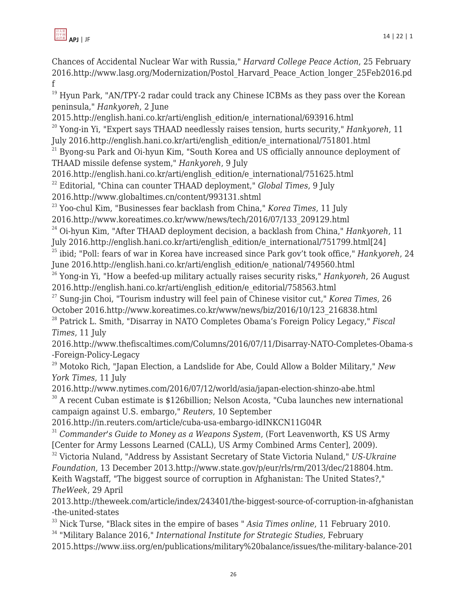

Chances of Accidental Nuclear War with Russia," *Harvard College Peace Action*, 25 February 2016.http://www.lasg.org/Modernization/Postol\_Harvard\_Peace\_Action\_longer\_25Feb2016.pd f

<sup>19</sup> Hyun Park, "AN/TPY-2 radar could track any Chinese ICBMs as they pass over the Korean peninsula," *Hankyoreh*, 2 June

2015.http://english.hani.co.kr/arti/english\_edition/e\_international/693916.html

<sup>20</sup> Yong-in Yi, "Expert says THAAD needlessly raises tension, hurts security," *Hankyoreh*, 11 July 2016.http://english.hani.co.kr/arti/english\_edition/e\_international/751801.html

 $21$  Byong-su Park and Oi-hyun Kim, "South Korea and US officially announce deployment of THAAD missile defense system," *Hankyoreh*, 9 July

2016.http://english.hani.co.kr/arti/english\_edition/e\_international/751625.html

<sup>22</sup> Editorial, "China can counter THAAD deployment," *Global Times*, 9 July

2016.http://www.globaltimes.cn/content/993131.shtml

<sup>23</sup> Yoo-chul Kim, "Businesses fear backlash from China," *Korea Times*, 11 July

2016.http://www.koreatimes.co.kr/www/news/tech/2016/07/133\_209129.html

<sup>24</sup> Oi-hyun Kim, "After THAAD deployment decision, a backlash from China," *Hankyoreh*, 11

July 2016.http://english.hani.co.kr/arti/english\_edition/e\_international/751799.html[24]

<sup>25</sup> ibid; "Poll: fears of war in Korea have increased since Park gov't took office," *Hankyoreh*, 24 June 2016.http://english.hani.co.kr/arti/english\_edition/e\_national/749560.html

<sup>26</sup> Yong-in Yi, "How a beefed-up military actually raises security risks," *Hankyoreh*, 26 August 2016.http://english.hani.co.kr/arti/english\_edition/e\_editorial/758563.html

<sup>27</sup> Sung-jin Choi, "Tourism industry will feel pain of Chinese visitor cut," *Korea Times*, 26 October 2016.http://www.koreatimes.co.kr/www/news/biz/2016/10/123\_216838.html

<sup>28</sup> Patrick L. Smith, "Disarray in NATO Completes Obama's Foreign Policy Legacy," *Fiscal Times*, 11 July

2016.http://www.thefiscaltimes.com/Columns/2016/07/11/Disarray-NATO-Completes-Obama-s -Foreign-Policy-Legacy

<sup>29</sup> Motoko Rich, "Japan Election, a Landslide for Abe, Could Allow a Bolder Military," *New York Times*, 11 July

2016.http://www.nytimes.com/2016/07/12/world/asia/japan-election-shinzo-abe.html <sup>30</sup> A recent Cuban estimate is \$126billion; Nelson Acosta, "Cuba launches new international campaign against U.S. embargo," *Reuters*, 10 September

2016.http://in.reuters.com/article/cuba-usa-embargo-idINKCN11G04R

<sup>31</sup> *Commander's Guide to Money as a Weapons System*, (Fort Leavenworth, KS US Army [Center for Army Lessons Learned (CALL), US Army Combined Arms Center], 2009).

<sup>32</sup> Victoria Nuland, "Address by Assistant Secretary of State Victoria Nuland," *US-Ukraine Foundation*, 13 December 2013.http://www.state.gov/p/eur/rls/rm/2013/dec/218804.htm. Keith Wagstaff, "The biggest source of corruption in Afghanistan: The United States?," *TheWeek*, 29 April

2013.http://theweek.com/article/index/243401/the-biggest-source-of-corruption-in-afghanistan -the-united-states

<sup>33</sup> Nick Turse, "Black sites in the empire of bases " *Asia Times online*, 11 February 2010.

<sup>34</sup> "Military Balance 2016," *International Institute for Strategic Studies*, February

2015.https://www.iiss.org/en/publications/military%20balance/issues/the-military-balance-201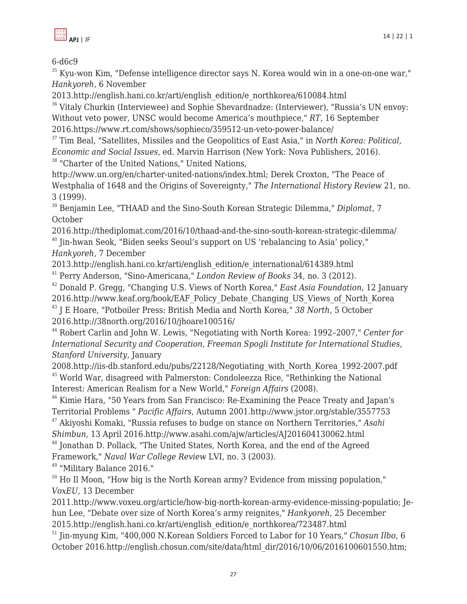

6-d6c9

 $35$  Kyu-won Kim, "Defense intelligence director says N. Korea would win in a one-on-one war," *Hankyoreh*, 6 November

2013.http://english.hani.co.kr/arti/english\_edition/e\_northkorea/610084.html

 $36$  Vitaly Churkin (Interviewee) and Sophie Shevardnadze: (Interviewer), "Russia's UN envoy: Without veto power, UNSC would become America's mouthpiece," *RT*, 16 September 2016.https://www.rt.com/shows/sophieco/359512-un-veto-power-balance/

<sup>37</sup> Tim Beal, "Satellites, Missiles and the Geopolitics of East Asia," in *North Korea: Political, Economic and Social Issues*, ed. Marvin Harrison (New York: Nova Publishers, 2016). <sup>38</sup> "Charter of the United Nations," United Nations,

http://www.un.org/en/charter-united-nations/index.html; Derek Croxton, "The Peace of Westphalia of 1648 and the Origins of Sovereignty," *The International History Review* 21, no. 3 (1999).

<sup>39</sup> Benjamin Lee, "THAAD and the Sino-South Korean Strategic Dilemma," *Diplomat*, 7 October

2016.http://thediplomat.com/2016/10/thaad-and-the-sino-south-korean-strategic-dilemma/  $40$  Jin-hwan Seok, "Biden seeks Seoul's support on US 'rebalancing to Asia' policy," *Hankyoreh*, 7 December

2013.http://english.hani.co.kr/arti/english\_edition/e\_international/614389.html

<sup>41</sup> Perry Anderson, "Sino-Americana," *London Review of Books* 34, no. 3 (2012).

<sup>42</sup> Donald P. Gregg, "Changing U.S. Views of North Korea," *East Asia Foundation*, 12 January 2016.http://www.keaf.org/book/EAF\_Policy\_Debate\_Changing\_US\_Views\_of\_North\_Korea

<sup>43</sup> J E Hoare, "Potboiler Press: British Media and North Korea," *38 North*, 5 October 2016.http://38north.org/2016/10/jhoare100516/

<sup>44</sup> Robert Carlin and John W. Lewis, "Negotiating with North Korea: 1992–2007," *Center for International Security and Cooperation, Freeman Spogli Institute for International Studies, Stanford University*, January

2008.http://iis-db.stanford.edu/pubs/22128/Negotiating\_with\_North\_Korea\_1992-2007.pdf <sup>45</sup> World War, disagreed with Palmerston: Condoleezza Rice, "Rethinking the National Interest: American Realism for a New World," *Foreign Affairs* (2008).

<sup>46</sup> Kimie Hara, "50 Years from San Francisco: Re-Examining the Peace Treaty and Japan's Territorial Problems " *Pacific Affairs*, Autumn 2001.http://www.jstor.org/stable/3557753

<sup>47</sup> Akiyoshi Komaki, "Russia refuses to budge on stance on Northern Territories," *Asahi Shimbun*, 13 April 2016.http://www.asahi.com/ajw/articles/AJ201604130062.html

<sup>48</sup> Jonathan D. Pollack, "The United States, North Korea, and the end of the Agreed Framework," *Naval War College Review* LVI, no. 3 (2003).

<sup>49</sup> "Military Balance 2016."

<sup>50</sup> Ho Il Moon, "How big is the North Korean army? Evidence from missing population," *VoxEU*, 13 December

2011.http://www.voxeu.org/article/how-big-north-korean-army-evidence-missing-populatio; Jehun Lee, "Debate over size of North Korea's army reignites," *Hankyoreh*, 25 December 2015.http://english.hani.co.kr/arti/english\_edition/e\_northkorea/723487.html

<sup>51</sup> Jin-myung Kim, "400,000 N.Korean Soldiers Forced to Labor for 10 Years," *Chosun Ilbo*, 6 October 2016.http://english.chosun.com/site/data/html\_dir/2016/10/06/2016100601550.htm;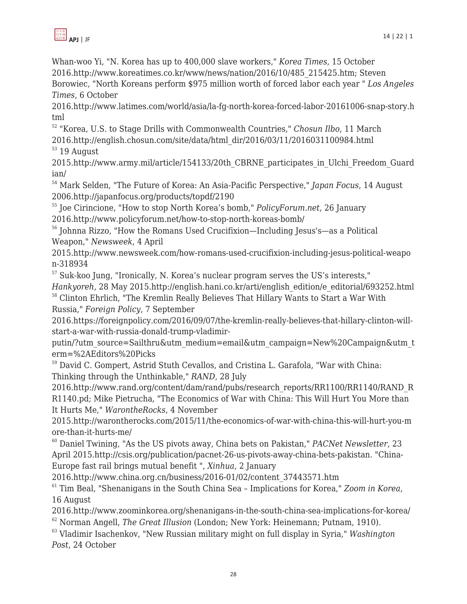

Whan-woo Yi, "N. Korea has up to 400,000 slave workers," *Korea Times*, 15 October 2016.http://www.koreatimes.co.kr/www/news/nation/2016/10/485\_215425.htm; Steven Borowiec, "North Koreans perform \$975 million worth of forced labor each year " *Los Angeles Times*, 6 October

2016.http://www.latimes.com/world/asia/la-fg-north-korea-forced-labor-20161006-snap-story.h tml

<sup>52</sup> "Korea, U.S. to Stage Drills with Commonwealth Countries," *Chosun Ilbo*, 11 March 2016.http://english.chosun.com/site/data/html\_dir/2016/03/11/2016031100984.html  $53$  19 August

2015.http://www.army.mil/article/154133/20th\_CBRNE\_participates\_in\_Ulchi\_Freedom\_Guard ian/

<sup>54</sup> Mark Selden, "The Future of Korea: An Asia-Pacific Perspective," *Japan Focus*, 14 August 2006.http://japanfocus.org/products/topdf/2190

<sup>55</sup> Joe Cirincione, "How to stop North Korea's bomb," *PolicyForum.net*, 26 January 2016.http://www.policyforum.net/how-to-stop-north-koreas-bomb/

<sup>56</sup> Johnna Rizzo, "How the Romans Used Crucifixion—Including Jesus's—as a Political Weapon," *Newsweek*, 4 April

2015.http://www.newsweek.com/how-romans-used-crucifixion-including-jesus-political-weapo n-318934

<sup>57</sup> Suk-koo Jung, "Ironically, N. Korea's nuclear program serves the US's interests," *Hankyoreh*, 28 May 2015.http://english.hani.co.kr/arti/english\_edition/e\_editorial/693252.html <sup>58</sup> Clinton Ehrlich, "The Kremlin Really Believes That Hillary Wants to Start a War With

Russia," *Foreign Policy*, 7 September 2016.https://foreignpolicy.com/2016/09/07/the-kremlin-really-believes-that-hillary-clinton-will-

start-a-war-with-russia-donald-trump-vladimir-

putin/?utm\_source=Sailthru&utm\_medium=email&utm\_campaign=New%20Campaign&utm\_t erm=%2AEditors%20Picks

<sup>59</sup> David C. Gompert, Astrid Stuth Cevallos, and Cristina L. Garafola, "War with China: Thinking through the Unthinkable," *RAND*, 28 July

2016.http://www.rand.org/content/dam/rand/pubs/research\_reports/RR1100/RR1140/RAND\_R R1140.pd; Mike Pietrucha, "The Economics of War with China: This Will Hurt You More than It Hurts Me," *WarontheRocks*, 4 November

2015.http://warontherocks.com/2015/11/the-economics-of-war-with-china-this-will-hurt-you-m ore-than-it-hurts-me/

<sup>60</sup> Daniel Twining, "As the US pivots away, China bets on Pakistan," *PACNet Newsletter*, 23 April 2015.http://csis.org/publication/pacnet-26-us-pivots-away-china-bets-pakistan. "China-Europe fast rail brings mutual benefit ", *Xinhua*, 2 January

2016.http://www.china.org.cn/business/2016-01/02/content\_37443571.htm

<sup>61</sup> Tim Beal, "Shenanigans in the South China Sea – Implications for Korea," *Zoom in Korea*, 16 August

2016.http://www.zoominkorea.org/shenanigans-in-the-south-china-sea-implications-for-korea/ <sup>62</sup> Norman Angell, *The Great Illusion* (London; New York: Heinemann; Putnam, 1910).

<sup>63</sup> Vladimir Isachenkov, "New Russian military might on full display in Syria," *Washington Post*, 24 October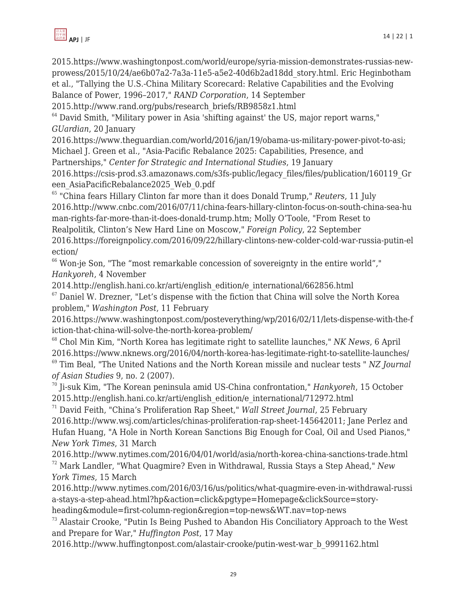

2015.http://www.rand.org/pubs/research\_briefs/RB9858z1.html

 $64$  David Smith, "Military power in Asia 'shifting against' the US, major report warns," *GUardian*, 20 January

2016.https://www.theguardian.com/world/2016/jan/19/obama-us-military-power-pivot-to-asi; Michael J. Green et al., "Asia-Pacific Rebalance 2025: Capabilities, Presence, and

Partnerships," *Center for Strategic and International Studies*, 19 January

2016.https://csis-prod.s3.amazonaws.com/s3fs-public/legacy\_files/files/publication/160119\_Gr een\_AsiaPacificRebalance2025\_Web\_0.pdf

<sup>65</sup> "China fears Hillary Clinton far more than it does Donald Trump," *Reuters*, 11 July 2016.http://www.cnbc.com/2016/07/11/china-fears-hillary-clinton-focus-on-south-china-sea-hu man-rights-far-more-than-it-does-donald-trump.htm; Molly O'Toole, "From Reset to Realpolitik, Clinton's New Hard Line on Moscow," *Foreign Policy*, 22 September 2016.https://foreignpolicy.com/2016/09/22/hillary-clintons-new-colder-cold-war-russia-putin-el ection/

 $66$  Won-je Son, "The "most remarkable concession of sovereignty in the entire world"," *Hankyoreh*, 4 November

2014.http://english.hani.co.kr/arti/english\_edition/e\_international/662856.html

 $67$  Daniel W. Drezner, "Let's dispense with the fiction that China will solve the North Korea problem," *Washington Post*, 11 February

2016.https://www.washingtonpost.com/posteverything/wp/2016/02/11/lets-dispense-with-the-f iction-that-china-will-solve-the-north-korea-problem/

<sup>68</sup> Chol Min Kim, "North Korea has legitimate right to satellite launches," *NK News*, 6 April 2016.https://www.nknews.org/2016/04/north-korea-has-legitimate-right-to-satellite-launches/

<sup>69</sup> Tim Beal, "The United Nations and the North Korean missile and nuclear tests " *NZ Journal of Asian Studies* 9, no. 2 (2007).

<sup>70</sup> Ji-suk Kim, "The Korean peninsula amid US-China confrontation," *Hankyoreh*, 15 October 2015.http://english.hani.co.kr/arti/english\_edition/e\_international/712972.html

<sup>71</sup> David Feith, "China's Proliferation Rap Sheet," *Wall Street Journal*, 25 February 2016.http://www.wsj.com/articles/chinas-proliferation-rap-sheet-145642011; Jane Perlez and Hufan Huang, "A Hole in North Korean Sanctions Big Enough for Coal, Oil and Used Pianos," *New York Times*, 31 March

2016.http://www.nytimes.com/2016/04/01/world/asia/north-korea-china-sanctions-trade.html <sup>72</sup> Mark Landler, "What Quagmire? Even in Withdrawal, Russia Stays a Step Ahead," *New York Times*, 15 March

2016.http://www.nytimes.com/2016/03/16/us/politics/what-quagmire-even-in-withdrawal-russi a-stays-a-step-ahead.html?hp&action=click&pgtype=Homepage&clickSource=storyheading&module=first-column-region&region=top-news&WT.nav=top-news

 $73$  Alastair Crooke, "Putin Is Being Pushed to Abandon His Conciliatory Approach to the West and Prepare for War," *Huffington Post*, 17 May

2016.http://www.huffingtonpost.com/alastair-crooke/putin-west-war\_b\_9991162.html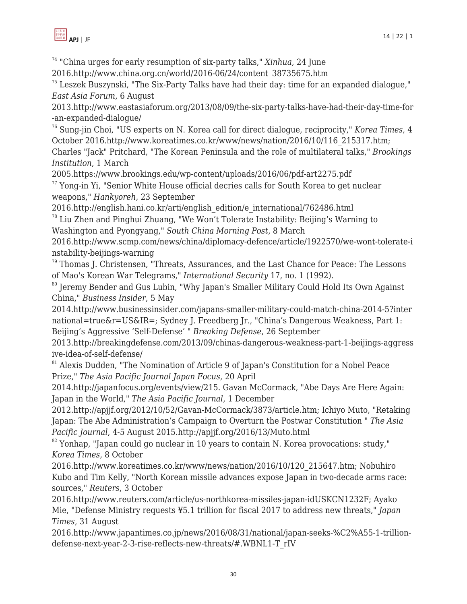

<sup>74</sup> "China urges for early resumption of six-party talks," *Xinhua*, 24 June

2016.http://www.china.org.cn/world/2016-06/24/content\_38735675.htm

 $75$  Leszek Buszynski, "The Six-Party Talks have had their day: time for an expanded dialogue." *East Asia Forum*, 6 August

2013.http://www.eastasiaforum.org/2013/08/09/the-six-party-talks-have-had-their-day-time-for -an-expanded-dialogue/

<sup>76</sup> Sung-jin Choi, "US experts on N. Korea call for direct dialogue, reciprocity," *Korea Times*, 4 October 2016.http://www.koreatimes.co.kr/www/news/nation/2016/10/116\_215317.htm;

Charles "Jack" Pritchard, "The Korean Peninsula and the role of multilateral talks," *Brookings Institution*, 1 March

2005.https://www.brookings.edu/wp-content/uploads/2016/06/pdf-art2275.pdf

 $77$  Yong-in Yi, "Senior White House official decries calls for South Korea to get nuclear weapons," *Hankyoreh*, 23 September

2016.http://english.hani.co.kr/arti/english\_edition/e\_international/762486.html

 $78$  Liu Zhen and Pinghui Zhuang, "We Won't Tolerate Instability: Beijing's Warning to Washington and Pyongyang," *South China Morning Post*, 8 March

2016.http://www.scmp.com/news/china/diplomacy-defence/article/1922570/we-wont-tolerate-i nstability-beijings-warning

 $79$  Thomas J. Christensen, "Threats, Assurances, and the Last Chance for Peace: The Lessons of Mao's Korean War Telegrams," *International Security* 17, no. 1 (1992).

<sup>80</sup> Jeremy Bender and Gus Lubin, "Why Japan's Smaller Military Could Hold Its Own Against China," *Business Insider*, 5 May

2014.http://www.businessinsider.com/japans-smaller-military-could-match-china-2014-5?inter national=true&r=US&IR=; Sydney J. Freedberg Jr., "China's Dangerous Weakness, Part 1: Beijing's Aggressive 'Self-Defense' " *Breaking Defense*, 26 September

2013.http://breakingdefense.com/2013/09/chinas-dangerous-weakness-part-1-beijings-aggress ive-idea-of-self-defense/

<sup>81</sup> Alexis Dudden, "The Nomination of Article 9 of Japan's Constitution for a Nobel Peace Prize," *The Asia Pacific Journal Japan Focus*, 20 April

2014.http://japanfocus.org/events/view/215. Gavan McCormack, "Abe Days Are Here Again: Japan in the World," *The Asia Pacific Journal*, 1 December

2012.http://apjjf.org/2012/10/52/Gavan-McCormack/3873/article.htm; Ichiyo Muto, "Retaking Japan: The Abe Administration's Campaign to Overturn the Postwar Constitution " *The Asia Pacific Journal*, 4-5 August 2015.http://apjjf.org/2016/13/Muto.html

 $82$  Yonhap, "Japan could go nuclear in 10 years to contain N. Korea provocations: study," *Korea Times*, 8 October

2016.http://www.koreatimes.co.kr/www/news/nation/2016/10/120\_215647.htm; Nobuhiro Kubo and Tim Kelly, "North Korean missile advances expose Japan in two-decade arms race: sources," *Reuters*, 3 October

2016.http://www.reuters.com/article/us-northkorea-missiles-japan-idUSKCN1232F; Ayako Mie, "Defense Ministry requests ¥5.1 trillion for fiscal 2017 to address new threats," *Japan Times*, 31 August

2016.http://www.japantimes.co.jp/news/2016/08/31/national/japan-seeks-%C2%A55-1-trilliondefense-next-year-2-3-rise-reflects-new-threats/#.WBNL1-T\_rIV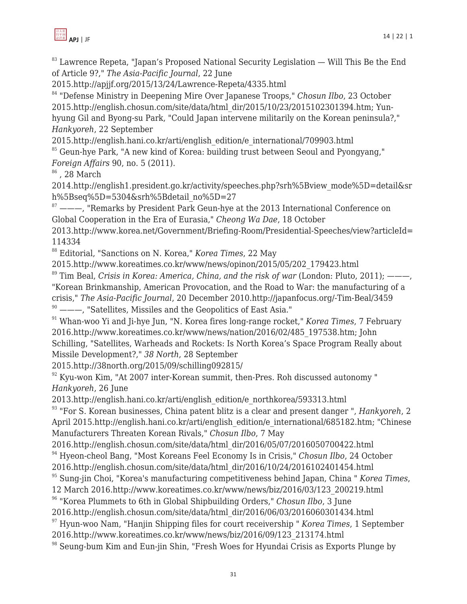

 $83$  Lawrence Repeta, "Japan's Proposed National Security Legislation  $-$  Will This Be the End of Article 9?," *The Asia-Pacific Journal*, 22 June

2015.http://apjjf.org/2015/13/24/Lawrence-Repeta/4335.html

<sup>84</sup> "Defense Ministry in Deepening Mire Over Japanese Troops," *Chosun Ilbo*, 23 October 2015.http://english.chosun.com/site/data/html\_dir/2015/10/23/2015102301394.htm; Yunhyung Gil and Byong-su Park, "Could Japan intervene militarily on the Korean peninsula?," *Hankyoreh*, 22 September

2015.http://english.hani.co.kr/arti/english\_edition/e\_international/709903.html

<sup>85</sup> Geun-hye Park, "A new kind of Korea: building trust between Seoul and Pyongyang," *Foreign Affairs* 90, no. 5 (2011).

 $86$ , 28 March

2014.http://english1.president.go.kr/activity/speeches.php?srh%5Bview\_mode%5D=detail&sr h%5Bseq%5D=5304&srh%5Bdetail\_no%5D=27

 $87$  ———, "Remarks by President Park Geun-hye at the 2013 International Conference on Global Cooperation in the Era of Eurasia," *Cheong Wa Dae*, 18 October

2013.http://www.korea.net/Government/Briefing-Room/Presidential-Speeches/view?articleId= 114334

<sup>88</sup> Editorial, "Sanctions on N. Korea," *Korea Times*, 22 May

2015.http://www.koreatimes.co.kr/www/news/opinon/2015/05/202\_179423.html

<sup>89</sup> Tim Beal, *Crisis in Korea: America, China, and the risk of war* (London: Pluto, 2011); ———, "Korean Brinkmanship, American Provocation, and the Road to War: the manufacturing of a crisis," *The Asia-Pacific Journal*, 20 December 2010.http://japanfocus.org/-Tim-Beal/3459

 $90$  ---, "Satellites, Missiles and the Geopolitics of East Asia."

<sup>91</sup> Whan-woo Yi and Ji-hye Jun, "N. Korea fires long-range rocket," *Korea Times*, 7 February 2016.http://www.koreatimes.co.kr/www/news/nation/2016/02/485\_197538.htm; John Schilling, "Satellites, Warheads and Rockets: Is North Korea's Space Program Really about Missile Development?," *38 North*, 28 September

2015.http://38north.org/2015/09/schilling092815/

 $92$  Kyu-won Kim, "At 2007 inter-Korean summit, then-Pres. Roh discussed autonomy " *Hankyoreh*, 26 June

2013.http://english.hani.co.kr/arti/english\_edition/e\_northkorea/593313.html

<sup>93</sup> "For S. Korean businesses, China patent blitz is a clear and present danger ", *Hankyoreh*, 2 April 2015.http://english.hani.co.kr/arti/english\_edition/e\_international/685182.htm; "Chinese Manufacturers Threaten Korean Rivals," *Chosun Ilbo*, 7 May

2016.http://english.chosun.com/site/data/html\_dir/2016/05/07/2016050700422.html

<sup>94</sup> Hyeon-cheol Bang, "Most Koreans Feel Economy Is in Crisis," *Chosun Ilbo*, 24 October

2016.http://english.chosun.com/site/data/html\_dir/2016/10/24/2016102401454.html

<sup>95</sup> Sung-jin Choi, "Korea's manufacturing competitiveness behind Japan, China " *Korea Times*,

12 March 2016.http://www.koreatimes.co.kr/www/news/biz/2016/03/123\_200219.html

<sup>96</sup> "Korea Plummets to 6th in Global Shipbuilding Orders," *Chosun Ilbo*, 3 June

2016.http://english.chosun.com/site/data/html\_dir/2016/06/03/2016060301434.html

<sup>97</sup> Hyun-woo Nam, "Hanjin Shipping files for court receivership " *Korea Times*, 1 September 2016.http://www.koreatimes.co.kr/www/news/biz/2016/09/123\_213174.html

<sup>98</sup> Seung-bum Kim and Eun-jin Shin, "Fresh Woes for Hyundai Crisis as Exports Plunge by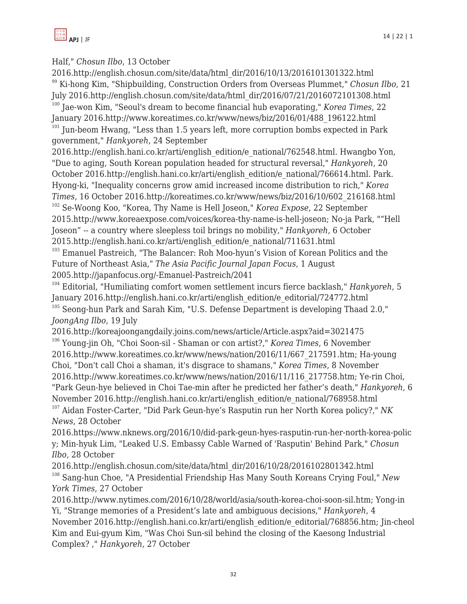

## Half," *Chosun Ilbo*, 13 October

2016.http://english.chosun.com/site/data/html\_dir/2016/10/13/2016101301322.html <sup>99</sup> Ki-hong Kim, "Shipbuilding, Construction Orders from Overseas Plummet," *Chosun Ilbo*, 21 July 2016.http://english.chosun.com/site/data/html\_dir/2016/07/21/2016072101308.html <sup>100</sup> Jae-won Kim, "Seoul's dream to become financial hub evaporating," *Korea Times*, 22 January 2016.http://www.koreatimes.co.kr/www/news/biz/2016/01/488\_196122.html  $101$  Jun-beom Hwang, "Less than 1.5 years left, more corruption bombs expected in Park government," *Hankyoreh*, 24 September

2016.http://english.hani.co.kr/arti/english\_edition/e\_national/762548.html. Hwangbo Yon, "Due to aging, South Korean population headed for structural reversal," *Hankyoreh*, 20 October 2016.http://english.hani.co.kr/arti/english\_edition/e\_national/766614.html. Park. Hyong-ki, "Inequality concerns grow amid increased income distribution to rich," *Korea Times*, 16 October 2016.http://koreatimes.co.kr/www/news/biz/2016/10/602\_216168.html

<sup>102</sup> Se-Woong Koo, "Korea, Thy Name is Hell Joseon," *Korea Expose*, 22 September 2015.http://www.koreaexpose.com/voices/korea-thy-name-is-hell-joseon; No-ja Park, ""Hell Joseon" -- a country where sleepless toil brings no mobility," *Hankyoreh*, 6 October 2015.http://english.hani.co.kr/arti/english\_edition/e\_national/711631.html

<sup>103</sup> Emanuel Pastreich, "The Balancer: Roh Moo-hyun's Vision of Korean Politics and the Future of Northeast Asia," *The Asia Pacific Journal Japan Focus*, 1 August 2005.http://japanfocus.org/-Emanuel-Pastreich/2041

<sup>104</sup> Editorial, "Humiliating comfort women settlement incurs fierce backlash," *Hankyoreh*, 5 January 2016.http://english.hani.co.kr/arti/english\_edition/e\_editorial/724772.html

<sup>105</sup> Seong-hun Park and Sarah Kim, "U.S. Defense Department is developing Thaad 2.0," *JoongAng Ilbo*, 19 July

2016.http://koreajoongangdaily.joins.com/news/article/Article.aspx?aid=3021475 <sup>106</sup> Young-jin Oh, "Choi Soon-sil - Shaman or con artist?," *Korea Times*, 6 November 2016.http://www.koreatimes.co.kr/www/news/nation/2016/11/667\_217591.htm; Ha-young Choi, "Don't call Choi a shaman, it's disgrace to shamans," *Korea Times*, 8 November 2016.http://www.koreatimes.co.kr/www/news/nation/2016/11/116\_217758.htm; Ye-rin Choi, "Park Geun-hye believed in Choi Tae-min after he predicted her father's death," *Hankyoreh*, 6 November 2016.http://english.hani.co.kr/arti/english\_edition/e\_national/768958.html <sup>107</sup> Aidan Foster-Carter, "Did Park Geun-hye's Rasputin run her North Korea policy?," *NK*

*News*, 28 October

2016.https://www.nknews.org/2016/10/did-park-geun-hyes-rasputin-run-her-north-korea-polic y; Min-hyuk Lim, "Leaked U.S. Embassy Cable Warned of 'Rasputin' Behind Park," *Chosun Ilbo*, 28 October

2016.http://english.chosun.com/site/data/html\_dir/2016/10/28/2016102801342.html <sup>108</sup> Sang-hun Choe, "A Presidential Friendship Has Many South Koreans Crying Foul," *New York Times*, 27 October

2016.http://www.nytimes.com/2016/10/28/world/asia/south-korea-choi-soon-sil.htm; Yong-in Yi, "Strange memories of a President's late and ambiguous decisions," *Hankyoreh*, 4 November 2016.http://english.hani.co.kr/arti/english\_edition/e\_editorial/768856.htm; Jin-cheol Kim and Eui-gyum Kim, "Was Choi Sun-sil behind the closing of the Kaesong Industrial Complex? ," *Hankyoreh*, 27 October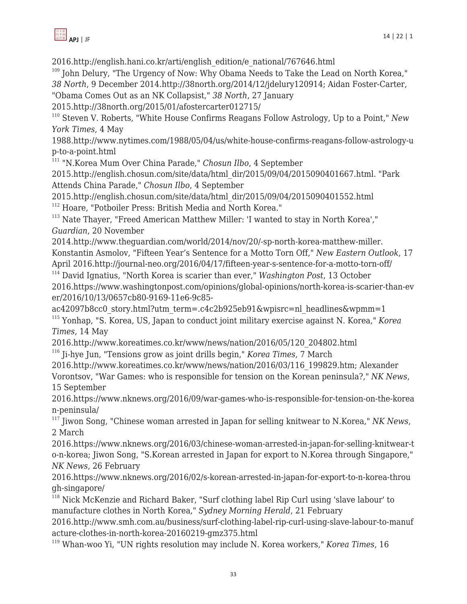

2016.http://english.hani.co.kr/arti/english\_edition/e\_national/767646.html

 $109$  John Delury, "The Urgency of Now: Why Obama Needs to Take the Lead on North Korea,"

*38 North*, 9 December 2014.http://38north.org/2014/12/jdelury120914; Aidan Foster-Carter,

"Obama Comes Out as an NK Collapsist," *38 North*, 27 January

2015.http://38north.org/2015/01/afostercarter012715/

<sup>110</sup> Steven V. Roberts, "White House Confirms Reagans Follow Astrology, Up to a Point," *New York Times*, 4 May

1988.http://www.nytimes.com/1988/05/04/us/white-house-confirms-reagans-follow-astrology-u p-to-a-point.html

<sup>111</sup> "N.Korea Mum Over China Parade," *Chosun Ilbo*, 4 September

2015.http://english.chosun.com/site/data/html\_dir/2015/09/04/2015090401667.html. "Park Attends China Parade," *Chosun Ilbo*, 4 September

2015.http://english.chosun.com/site/data/html\_dir/2015/09/04/2015090401552.html <sup>112</sup> Hoare, "Potboiler Press: British Media and North Korea."

 $113$  Nate Thayer, "Freed American Matthew Miller: 'I wanted to stay in North Korea'," *Guardian*, 20 November

2014.http://www.theguardian.com/world/2014/nov/20/-sp-north-korea-matthew-miller. Konstantin Asmolov, "Fifteen Year's Sentence for a Motto Torn Off," *New Eastern Outlook*, 17 April 2016.http://journal-neo.org/2016/04/17/fifteen-year-s-sentence-for-a-motto-torn-off/

<sup>114</sup> David Ignatius, "North Korea is scarier than ever," *Washington Post*, 13 October 2016.https://www.washingtonpost.com/opinions/global-opinions/north-korea-is-scarier-than-ev er/2016/10/13/0657cb80-9169-11e6-9c85-

ac42097b8cc0 story.html?utm\_term=.c4c2b925eb91&wpisrc=nl\_headlines&wpmm=1 <sup>115</sup> Yonhap, "S. Korea, US, Japan to conduct joint military exercise against N. Korea," *Korea Times*, 14 May

2016.http://www.koreatimes.co.kr/www/news/nation/2016/05/120\_204802.html

<sup>116</sup> Ji-hye Jun, "Tensions grow as joint drills begin," *Korea Times*, 7 March

2016.http://www.koreatimes.co.kr/www/news/nation/2016/03/116\_199829.htm; Alexander

Vorontsov, "War Games: who is responsible for tension on the Korean peninsula?," *NK News*, 15 September

2016.https://www.nknews.org/2016/09/war-games-who-is-responsible-for-tension-on-the-korea n-peninsula/

<sup>117</sup> Jiwon Song, "Chinese woman arrested in Japan for selling knitwear to N.Korea," *NK News*, 2 March

2016.https://www.nknews.org/2016/03/chinese-woman-arrested-in-japan-for-selling-knitwear-t o-n-korea; Jiwon Song, "S.Korean arrested in Japan for export to N.Korea through Singapore," *NK News*, 26 February

2016.https://www.nknews.org/2016/02/s-korean-arrested-in-japan-for-export-to-n-korea-throu gh-singapore/

<sup>118</sup> Nick McKenzie and Richard Baker, "Surf clothing label Rip Curl using 'slave labour' to manufacture clothes in North Korea," *Sydney Morning Herald*, 21 February

2016.http://www.smh.com.au/business/surf-clothing-label-rip-curl-using-slave-labour-to-manuf acture-clothes-in-north-korea-20160219-gmz375.html

<sup>119</sup> Whan-woo Yi, "UN rights resolution may include N. Korea workers," *Korea Times*, 16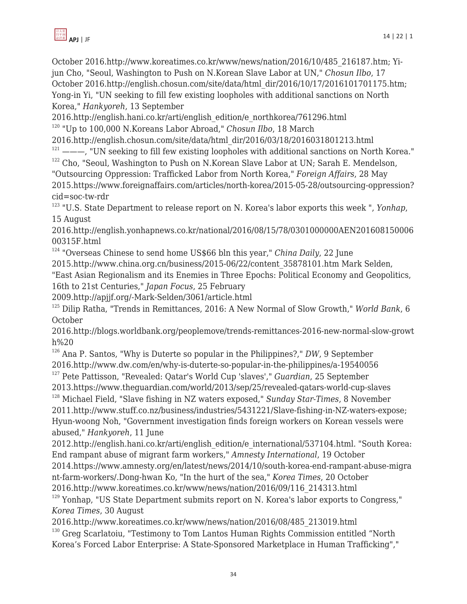

October 2016.http://www.koreatimes.co.kr/www/news/nation/2016/10/485\_216187.htm; Yijun Cho, "Seoul, Washington to Push on N.Korean Slave Labor at UN," *Chosun Ilbo*, 17 October 2016.http://english.chosun.com/site/data/html\_dir/2016/10/17/2016101701175.htm; Yong-in Yi, "UN seeking to fill few existing loopholes with additional sanctions on North Korea," *Hankyoreh*, 13 September

2016.http://english.hani.co.kr/arti/english\_edition/e\_northkorea/761296.html

<sup>120</sup> "Up to 100,000 N.Koreans Labor Abroad," *Chosun Ilbo*, 18 March

2016.http://english.chosun.com/site/data/html\_dir/2016/03/18/2016031801213.html

 $121$  ---, "UN seeking to fill few existing loopholes with additional sanctions on North Korea."  $122$  Cho, "Seoul, Washington to Push on N.Korean Slave Labor at UN; Sarah E. Mendelson, "Outsourcing Oppression: Trafficked Labor from North Korea," *Foreign Affairs*, 28 May 2015.https://www.foreignaffairs.com/articles/north-korea/2015-05-28/outsourcing-oppression?

cid=soc-tw-rdr <sup>123</sup> "U.S. State Department to release report on N. Korea's labor exports this week ", *Yonhap*, 15 August

2016.http://english.yonhapnews.co.kr/national/2016/08/15/78/0301000000AEN201608150006 00315F.html

<sup>124</sup> "Overseas Chinese to send home US\$66 bln this year," *China Daily*, 22 June

2015.http://www.china.org.cn/business/2015-06/22/content\_35878101.htm Mark Selden,

"East Asian Regionalism and its Enemies in Three Epochs: Political Economy and Geopolitics, 16th to 21st Centuries," *Japan Focus*, 25 February

2009.http://apjjf.org/-Mark-Selden/3061/article.html

<sup>125</sup> Dilip Ratha, "Trends in Remittances, 2016: A New Normal of Slow Growth," *World Bank*, 6 October

2016.http://blogs.worldbank.org/peoplemove/trends-remittances-2016-new-normal-slow-growt h%20

<sup>126</sup> Ana P. Santos, "Why is Duterte so popular in the Philippines?," *DW*, 9 September 2016.http://www.dw.com/en/why-is-duterte-so-popular-in-the-philippines/a-19540056

<sup>127</sup> Pete Pattisson, "Revealed: Qatar's World Cup 'slaves'," *Guardian*, 25 September 2013.https://www.theguardian.com/world/2013/sep/25/revealed-qatars-world-cup-slaves

<sup>128</sup> Michael Field, "Slave fishing in NZ waters exposed," *Sunday Star-Times*, 8 November 2011.http://www.stuff.co.nz/business/industries/5431221/Slave-fishing-in-NZ-waters-expose; Hyun-woong Noh, "Government investigation finds foreign workers on Korean vessels were abused," *Hankyoreh*, 11 June

2012.http://english.hani.co.kr/arti/english\_edition/e\_international/537104.html. "South Korea: End rampant abuse of migrant farm workers," *Amnesty International*, 19 October

2014.https://www.amnesty.org/en/latest/news/2014/10/south-korea-end-rampant-abuse-migra nt-farm-workers/.Dong-hwan Ko, "In the hurt of the sea," *Korea Times*, 20 October

2016.http://www.koreatimes.co.kr/www/news/nation/2016/09/116\_214313.html

<sup>129</sup> Yonhap, "US State Department submits report on N. Korea's labor exports to Congress," *Korea Times*, 30 August

2016.http://www.koreatimes.co.kr/www/news/nation/2016/08/485\_213019.html

<sup>130</sup> Greg Scarlatoiu, "Testimony to Tom Lantos Human Rights Commission entitled "North Korea's Forced Labor Enterprise: A State-Sponsored Marketplace in Human Trafficking","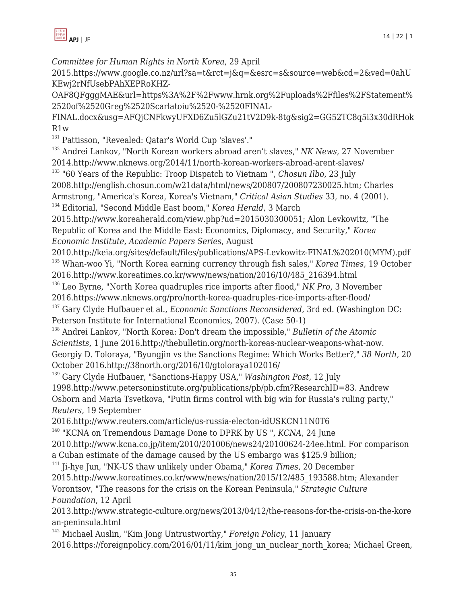

*Committee for Human Rights in North Korea*, 29 April

2015.https://www.google.co.nz/url?sa=t&rct=j&q=&esrc=s&source=web&cd=2&ved=0ahU KEwj2rNfUsebPAhXEPRoKHZ-

OAF8QFgggMAE&url=https%3A%2F%2Fwww.hrnk.org%2Fuploads%2Ffiles%2FStatement% 2520of%2520Greg%2520Scarlatoiu%2520-%2520FINAL-

FINAL.docx&usg=AFQjCNFkwyUFXD6Zu5lGZu21tV2D9k-8tg&sig2=GG52TC8q5i3x30dRHok R1w

<sup>131</sup> Pattisson, "Revealed: Qatar's World Cup 'slaves'."

<sup>132</sup> Andrei Lankov, "North Korean workers abroad aren't slaves," *NK News*, 27 November 2014.http://www.nknews.org/2014/11/north-korean-workers-abroad-arent-slaves/

<sup>133</sup> "60 Years of the Republic: Troop Dispatch to Vietnam ", *Chosun Ilbo*, 23 July

2008.http://english.chosun.com/w21data/html/news/200807/200807230025.htm; Charles Armstrong, "America's Korea, Korea's Vietnam," *Critical Asian Studies* 33, no. 4 (2001). <sup>134</sup> Editorial, "Second Middle East boom," *Korea Herald*, 3 March

2015.http://www.koreaherald.com/view.php?ud=2015030300051; Alon Levkowitz, "The Republic of Korea and the Middle East: Economics, Diplomacy, and Security," *Korea Economic Institute, Academic Papers Series*, August

2010.http://keia.org/sites/default/files/publications/APS-Levkowitz-FINAL%202010(MYM).pdf <sup>135</sup> Whan-woo Yi, "North Korea earning currency through fish sales," *Korea Times*, 19 October

2016.http://www.koreatimes.co.kr/www/news/nation/2016/10/485\_216394.html <sup>136</sup> Leo Byrne, "North Korea quadruples rice imports after flood," *NK Pro*, 3 November

2016.https://www.nknews.org/pro/north-korea-quadruples-rice-imports-after-flood/

<sup>137</sup> Gary Clyde Hufbauer et al., *Economic Sanctions Reconsidered*, 3rd ed. (Washington DC: Peterson Institute for International Economics, 2007). (Case 50-1)

<sup>138</sup> Andrei Lankov, "North Korea: Don't dream the impossible," *Bulletin of the Atomic Scientists*, 1 June 2016.http://thebulletin.org/north-koreas-nuclear-weapons-what-now. Georgiy D. Toloraya, "Byungjin vs the Sanctions Regime: Which Works Better?," *38 North*, 20 October 2016.http://38north.org/2016/10/gtoloraya102016/

<sup>139</sup> Gary Clyde Hufbauer, "Sanctions-Happy USA," *Washington Post*, 12 July 1998.http://www.petersoninstitute.org/publications/pb/pb.cfm?ResearchID=83. Andrew Osborn and Maria Tsvetkova, "Putin firms control with big win for Russia's ruling party," *Reuters*, 19 September

2016.http://www.reuters.com/article/us-russia-electon-idUSKCN11N0T6

<sup>140</sup> "KCNA on Tremendous Damage Done to DPRK by US ", *KCNA*, 24 June

2010.http://www.kcna.co.jp/item/2010/201006/news24/20100624-24ee.html. For comparison a Cuban estimate of the damage caused by the US embargo was \$125.9 billion;

<sup>141</sup> Ji-hye Jun, "NK-US thaw unlikely under Obama," *Korea Times*, 20 December

2015.http://www.koreatimes.co.kr/www/news/nation/2015/12/485\_193588.htm; Alexander Vorontsov, "The reasons for the crisis on the Korean Peninsula," *Strategic Culture Foundation*, 12 April

2013.http://www.strategic-culture.org/news/2013/04/12/the-reasons-for-the-crisis-on-the-kore an-peninsula.html

<sup>142</sup> Michael Auslin, "Kim Jong Untrustworthy," *Foreign Policy*, 11 January 2016.https://foreignpolicy.com/2016/01/11/kim\_jong\_un\_nuclear\_north\_korea; Michael Green,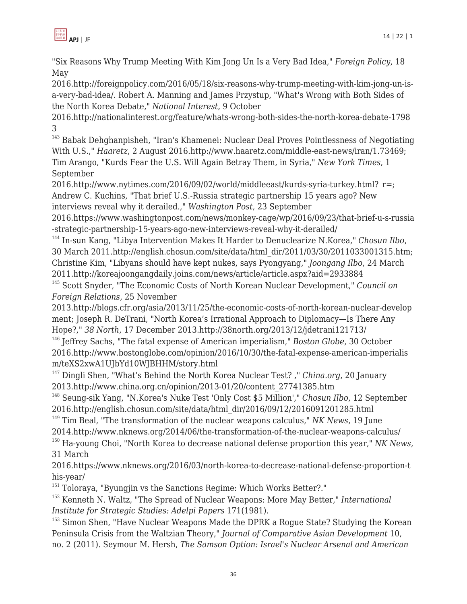

"Six Reasons Why Trump Meeting With Kim Jong Un Is a Very Bad Idea," *Foreign Policy*, 18 May

2016.http://foreignpolicy.com/2016/05/18/six-reasons-why-trump-meeting-with-kim-jong-un-isa-very-bad-idea/. Robert A. Manning and James Przystup, "What's Wrong with Both Sides of the North Korea Debate," *National Interest*, 9 October

2016.http://nationalinterest.org/feature/whats-wrong-both-sides-the-north-korea-debate-1798 3

<sup>143</sup> Babak Dehghanpisheh, "Iran's Khamenei: Nuclear Deal Proves Pointlessness of Negotiating With U.S.," *Haaretz*, 2 August 2016.http://www.haaretz.com/middle-east-news/iran/1.73469; Tim Arango, "Kurds Fear the U.S. Will Again Betray Them, in Syria," *New York Times*, 1 September

2016.http://www.nytimes.com/2016/09/02/world/middleeast/kurds-syria-turkey.html? r=; Andrew C. Kuchins, "That brief U.S.-Russia strategic partnership 15 years ago? New interviews reveal why it derailed.," *Washington Post*, 23 September

2016.https://www.washingtonpost.com/news/monkey-cage/wp/2016/09/23/that-brief-u-s-russia -strategic-partnership-15-years-ago-new-interviews-reveal-why-it-derailed/

<sup>144</sup> In-sun Kang, "Libya Intervention Makes It Harder to Denuclearize N.Korea," *Chosun Ilbo*, 30 March 2011.http://english.chosun.com/site/data/html\_dir/2011/03/30/2011033001315.htm; Christine Kim, "Libyans should have kept nukes, says Pyongyang," *Joongang Ilbo*, 24 March 2011.http://koreajoongangdaily.joins.com/news/article/article.aspx?aid=2933884

<sup>145</sup> Scott Snyder, "The Economic Costs of North Korean Nuclear Development," *Council on Foreign Relations*, 25 November

2013.http://blogs.cfr.org/asia/2013/11/25/the-economic-costs-of-north-korean-nuclear-develop ment; Joseph R. DeTrani, "North Korea's Irrational Approach to Diplomacy—Is There Any Hope?," *38 North*, 17 December 2013.http://38north.org/2013/12/jdetrani121713/

<sup>146</sup> Jeffrey Sachs, "The fatal expense of American imperialism," *Boston Globe*, 30 October 2016.http://www.bostonglobe.com/opinion/2016/10/30/the-fatal-expense-american-imperialis m/teXS2xwA1UJbYd10WJBHHM/story.html

<sup>147</sup> Dingli Shen, "What's Behind the North Korea Nuclear Test? ," *China.org*, 20 January 2013.http://www.china.org.cn/opinion/2013-01/20/content\_27741385.htm

<sup>148</sup> Seung-sik Yang, "N.Korea's Nuke Test 'Only Cost \$5 Million'," *Chosun Ilbo*, 12 September 2016.http://english.chosun.com/site/data/html\_dir/2016/09/12/2016091201285.html

<sup>149</sup> Tim Beal, "The transformation of the nuclear weapons calculus," *NK News*, 19 June 2014.http://www.nknews.org/2014/06/the-transformation-of-the-nuclear-weapons-calculus/

<sup>150</sup> Ha-young Choi, "North Korea to decrease national defense proportion this year," *NK News*, 31 March

2016.https://www.nknews.org/2016/03/north-korea-to-decrease-national-defense-proportion-t his-year/

<sup>151</sup> Toloraya, "Byungjin vs the Sanctions Regime: Which Works Better?."

<sup>152</sup> Kenneth N. Waltz, "The Spread of Nuclear Weapons: More May Better," *International Institute for Strategic Studies: Adelpi Papers* 171(1981).

<sup>153</sup> Simon Shen, "Have Nuclear Weapons Made the DPRK a Roque State? Studying the Korean Peninsula Crisis from the Waltzian Theory," *Journal of Comparative Asian Development* 10, no. 2 (2011). Seymour M. Hersh, *The Samson Option: Israel's Nuclear Arsenal and American*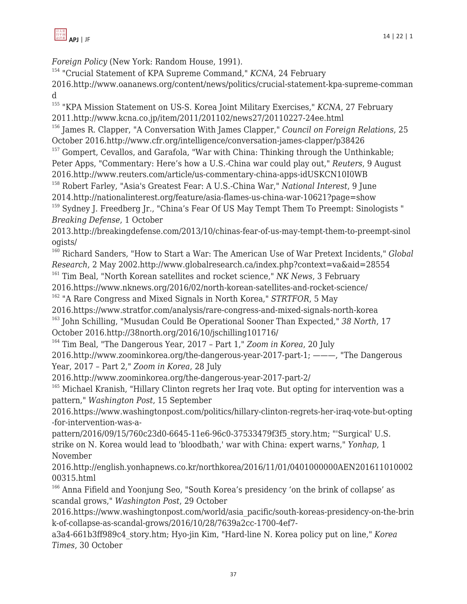

*Foreign Policy* (New York: Random House, 1991).

<sup>154</sup> "Crucial Statement of KPA Supreme Command," *KCNA*, 24 February

2016.http://www.oananews.org/content/news/politics/crucial-statement-kpa-supreme-comman d

<sup>155</sup> "KPA Mission Statement on US-S. Korea Joint Military Exercises," *KCNA*, 27 February 2011.http://www.kcna.co.jp/item/2011/201102/news27/20110227-24ee.html

<sup>156</sup> James R. Clapper, "A Conversation With James Clapper," *Council on Foreign Relations*, 25 October 2016.http://www.cfr.org/intelligence/conversation-james-clapper/p38426

 $157$  Gompert, Cevallos, and Garafola, "War with China: Thinking through the Unthinkable; Peter Apps, "Commentary: Here's how a U.S.-China war could play out," *Reuters*, 9 August 2016.http://www.reuters.com/article/us-commentary-china-apps-idUSKCN10I0WB

<sup>158</sup> Robert Farley, "Asia's Greatest Fear: A U.S.-China War," *National Interest*, 9 June 2014.http://nationalinterest.org/feature/asia-flames-us-china-war-10621?page=show

<sup>159</sup> Sydney J. Freedberg Jr., "China's Fear Of US May Tempt Them To Preempt: Sinologists " *Breaking Defense*, 1 October

2013.http://breakingdefense.com/2013/10/chinas-fear-of-us-may-tempt-them-to-preempt-sinol ogists/

<sup>160</sup> Richard Sanders, "How to Start a War: The American Use of War Pretext Incidents," *Global Research*, 2 May 2002.http://www.globalresearch.ca/index.php?context=va&aid=28554

<sup>161</sup> Tim Beal, "North Korean satellites and rocket science," *NK News*, 3 February

2016.https://www.nknews.org/2016/02/north-korean-satellites-and-rocket-science/

<sup>162</sup> "A Rare Congress and Mixed Signals in North Korea," *STRTFOR*, 5 May

2016.https://www.stratfor.com/analysis/rare-congress-and-mixed-signals-north-korea

<sup>163</sup> John Schilling, "Musudan Could Be Operational Sooner Than Expected," *38 North*, 17 October 2016.http://38north.org/2016/10/jschilling101716/

<sup>164</sup> Tim Beal, "The Dangerous Year, 2017 – Part 1," *Zoom in Korea*, 20 July

2016.http://www.zoominkorea.org/the-dangerous-year-2017-part-1; ———, "The Dangerous Year, 2017 – Part 2," *Zoom in Korea*, 28 July

2016.http://www.zoominkorea.org/the-dangerous-year-2017-part-2/

 $165$  Michael Kranish, "Hillary Clinton regrets her Iraq vote. But opting for intervention was a pattern," *Washington Post*, 15 September

2016.https://www.washingtonpost.com/politics/hillary-clinton-regrets-her-iraq-vote-but-opting -for-intervention-was-a-

pattern/2016/09/15/760c23d0-6645-11e6-96c0-37533479f3f5\_story.htm; "'Surgical' U.S. strike on N. Korea would lead to 'bloodbath,' war with China: expert warns," *Yonhap*, 1 November

2016.http://english.yonhapnews.co.kr/northkorea/2016/11/01/0401000000AEN201611010002 00315.html

<sup>166</sup> Anna Fifield and Yoonjung Seo, "South Korea's presidency 'on the brink of collapse' as scandal grows," *Washington Post*, 29 October

2016.https://www.washingtonpost.com/world/asia\_pacific/south-koreas-presidency-on-the-brin k-of-collapse-as-scandal-grows/2016/10/28/7639a2cc-1700-4ef7-

a3a4-661b3ff989c4\_story.htm; Hyo-jin Kim, "Hard-line N. Korea policy put on line," *Korea Times*, 30 October